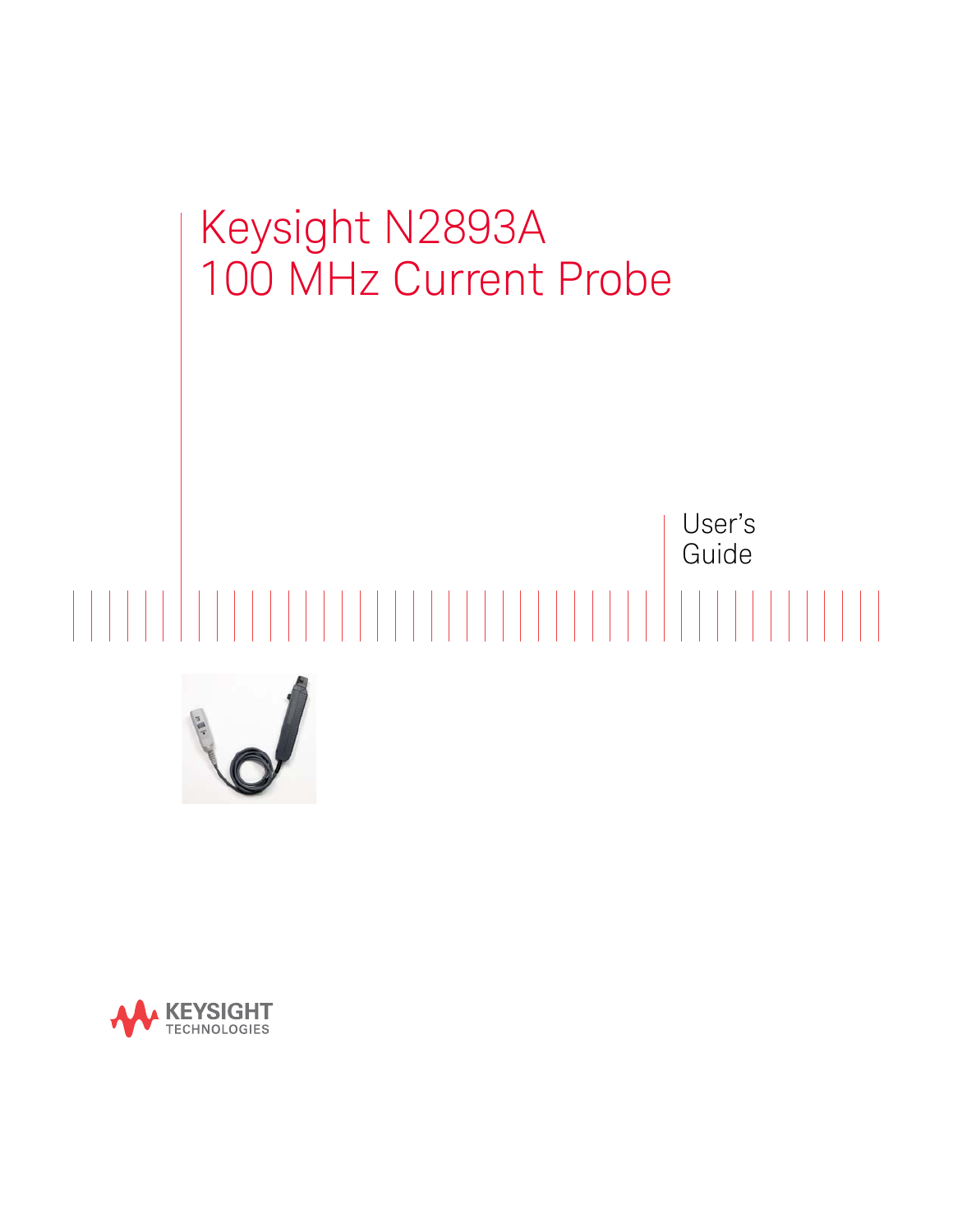# Keysight N2893A 100 MHz Current Probe User's Guide



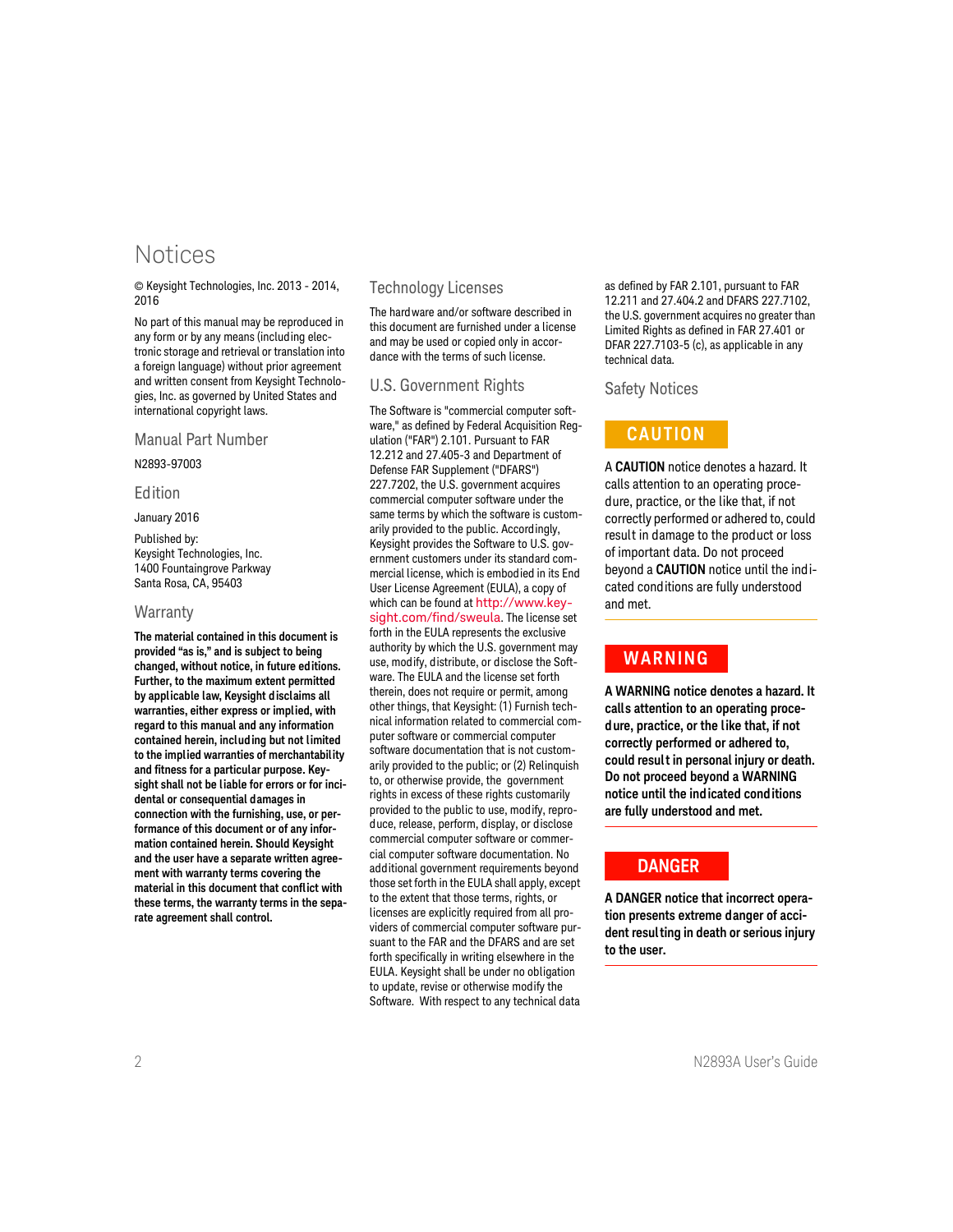# Notices

© Keysight Technologies, Inc. 2013 - 2014, 2016

No part of this manual may be reproduced in any form or by any means (including electronic storage and retrieval or translation into a foreign language) without prior agreement and written consent from Keysight Technologies, Inc. as governed by United States and international copyright laws.

### Manual Part Number

N2893-97003

### **Edition**

January 2016

Published by: Keysight Technologies, Inc. 1400 Fountaingrove Parkway Santa Rosa, CA, 95403

### Warranty

**The material contained in this document is provided "as is," and is subject to being changed, without notice, in future editions. Further, to the maximum extent permitted by applicable law, Keysight d isclaims all warranties, either express or implied, with regard to this manual and any information contained herein, includ ing but not limited to the implied warranties of merchantability and fitness for a particular purpose. Keysight shall not be liable for errors or for incidental or consequential damages in connection with the furnishing, use, or performance of this document or of any information contained herein. Should Keysight and the user have a separate written agreement with warranty terms covering the material in this document that conflict with these terms, the warranty terms in the separate agreement shall control.**

# Technology Licenses

The hardware and/or software described in this document are furnished under a license and may be used or copied only in accordance with the terms of such license.

# U.S. Government Rights

The Software is "commercial computer software," as defined by Federal Acquisition Regulation ("FAR") 2.101. Pursuant to FAR 12.212 and 27.405-3 and Department of Defense FAR Supplement ("DFARS") 227.7202, the U.S. government acquires commercial computer software under the same terms by which the software is customarily provided to the public. Accordingly, Keysight provides the Software to U.S. government customers under its standard commercial license, which is embodied in its End User License Agreement (EULA), a copy of which can be found at [http://www.key](http://www.keysight.com/find/sweula)[sight.com/find/sweula](http://www.keysight.com/find/sweula). The license set forth in the EULA represents the exclusive authority by which the U.S. government may use, modify, distribute, or disclose the Software. The EULA and the license set forth therein, does not require or permit, among other things, that Keysight: (1) Furnish technical information related to commercial computer software or commercial computer software documentation that is not customarily provided to the public; or (2) Relinquish to, or otherwise provide, the government rights in excess of these rights customarily provided to the public to use, modify, reproduce, release, perform, display, or disclose commercial computer software or commercial computer software documentation. No additional government requirements beyond those set forth in the EULA shall apply, except to the extent that those terms, rights, or licenses are explicitly required from all providers of commercial computer software pursuant to the FAR and the DFARS and are set forth specifically in writing elsewhere in the EULA. Keysight shall be under no obligation to update, revise or otherwise modify the Software. With respect to any technical data

as defined by FAR 2.101, pursuant to FAR 12.211 and 27.404.2 and DFARS 227.7102, the U.S. government acquires no greater than Limited Rights as defined in FAR 27.401 or DFAR 227.7103-5 (c), as applicable in any technical data.

### Safety Notices

# **CAUTION**

A **CAUTION** notice denotes a hazard. It calls attention to an operating procedure, practice, or the like that, if not correctly performed or adhered to, could result in damage to the product or loss of important data. Do not proceed beyond a **CAUTION** notice until the indicated conditions are fully understood and met.

# **WARNING**

**A WARNING notice denotes a hazard. It calls attention to an operating procedure, practice, or the like that, if not correctly performed or adhered to, could result in personal injury or death. Do not proceed beyond a WARNING notice until the indicated conditions are fully understood and met.**

# **DANGER**

**A DANGER notice that incorrect operation presents extreme danger of accident resulting in death or serious injury to the user.**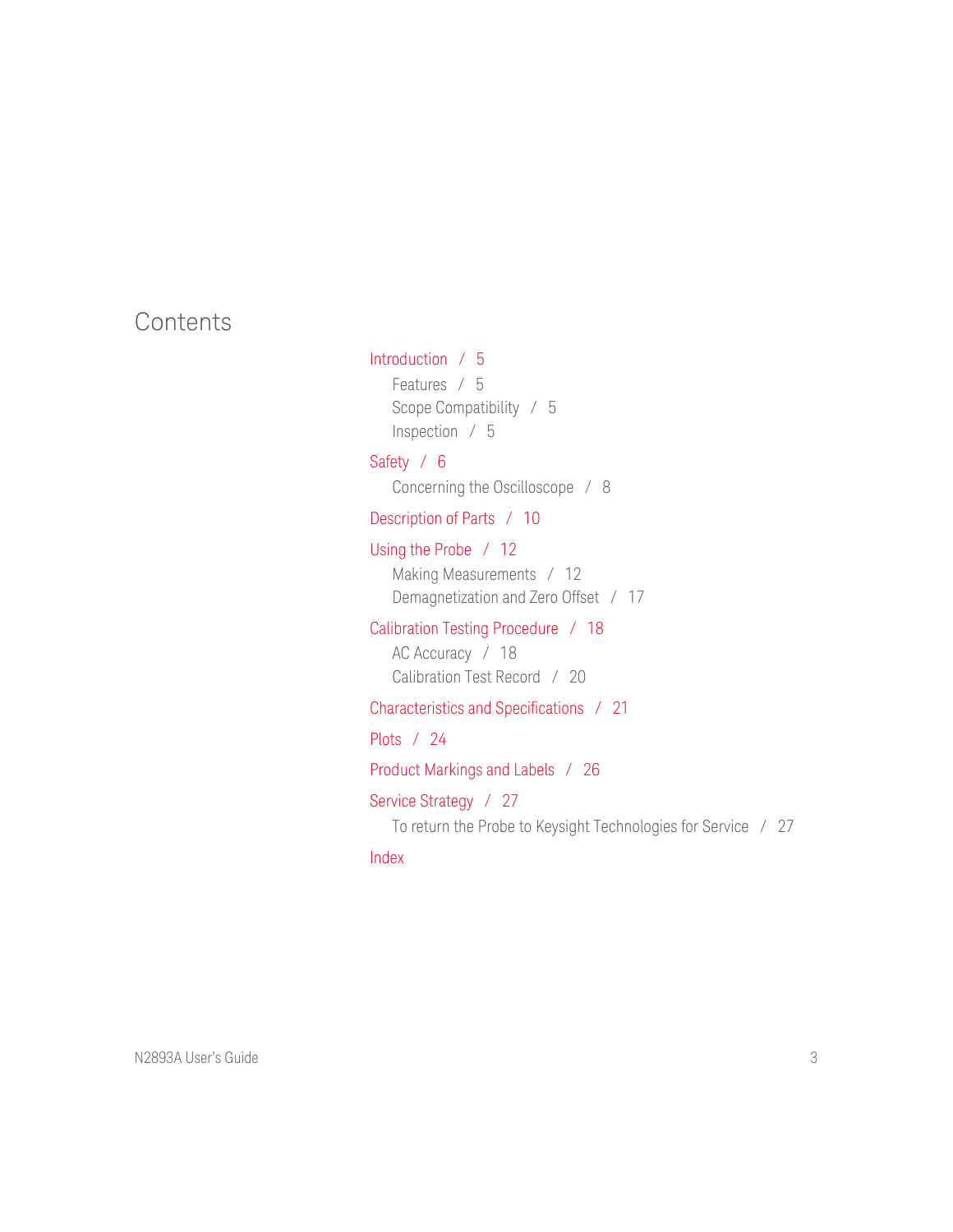# **Contents**

# [Introduction / 5](#page-4-0)

[Features / 5](#page-4-1) [Scope Compatibility / 5](#page-4-2) [Inspection / 5](#page-4-3)

# [Safety / 6](#page-5-0)

[Concerning the Oscilloscope / 8](#page-7-0)

# [Description of Parts / 10](#page-9-0)

[Using the Probe / 12](#page-11-0) [Making Measurements / 12](#page-11-1) [Demagnetization and Zero Offset / 17](#page-16-0)

# [Calibration Testing Procedure / 18](#page-17-0)

[AC Accuracy / 18](#page-17-1) [Calibration Test Record / 20](#page-19-0)

# [Characteristics and Specifications / 21](#page-20-0)

# [Plots / 24](#page-23-0)

[Product Markings and Labels / 26](#page-25-0)

# [Service Strategy / 27](#page-26-0)

[To return the Probe to Keysight Technologies for Service / 27](#page-26-1)

### [Index](#page-28-0)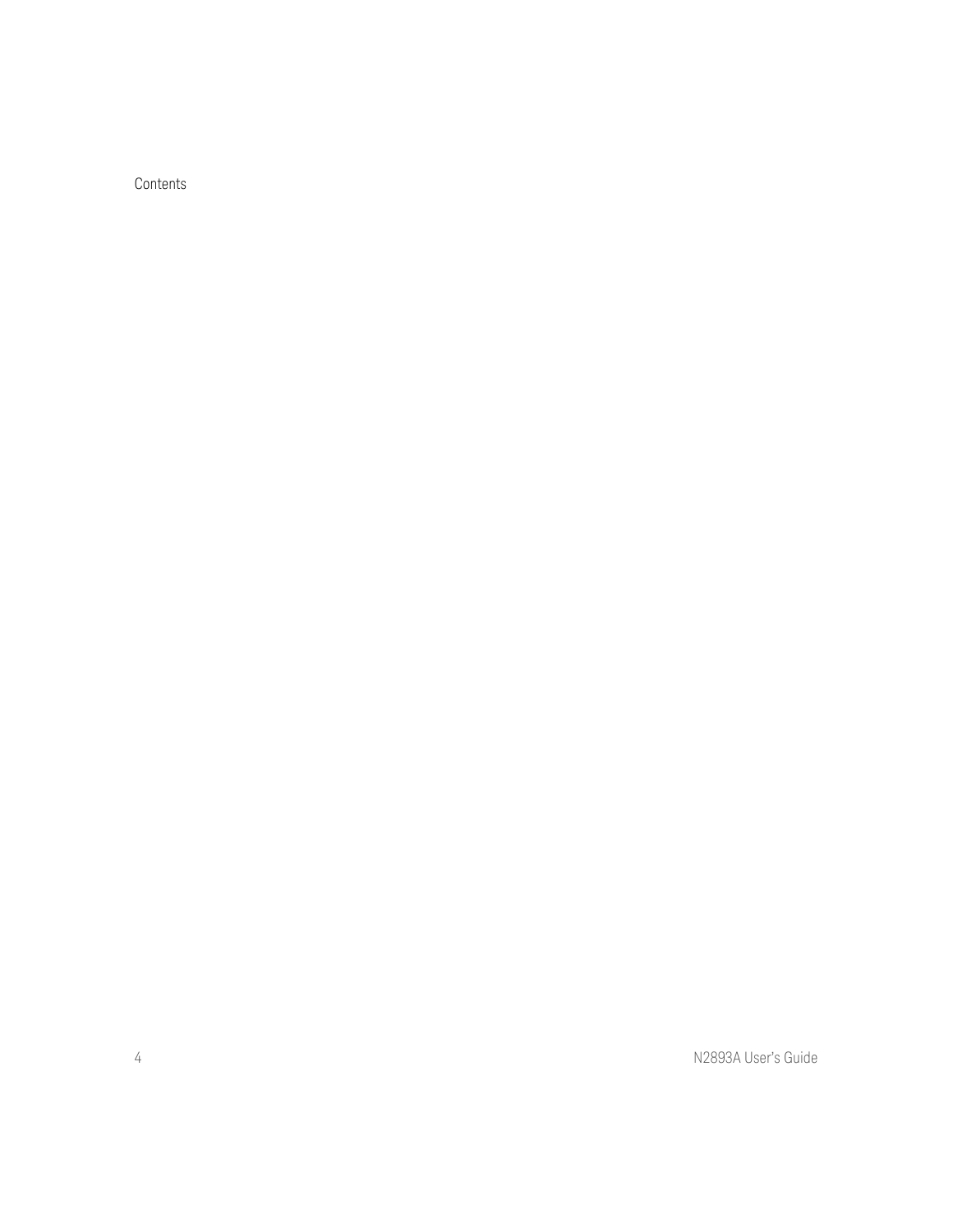Contents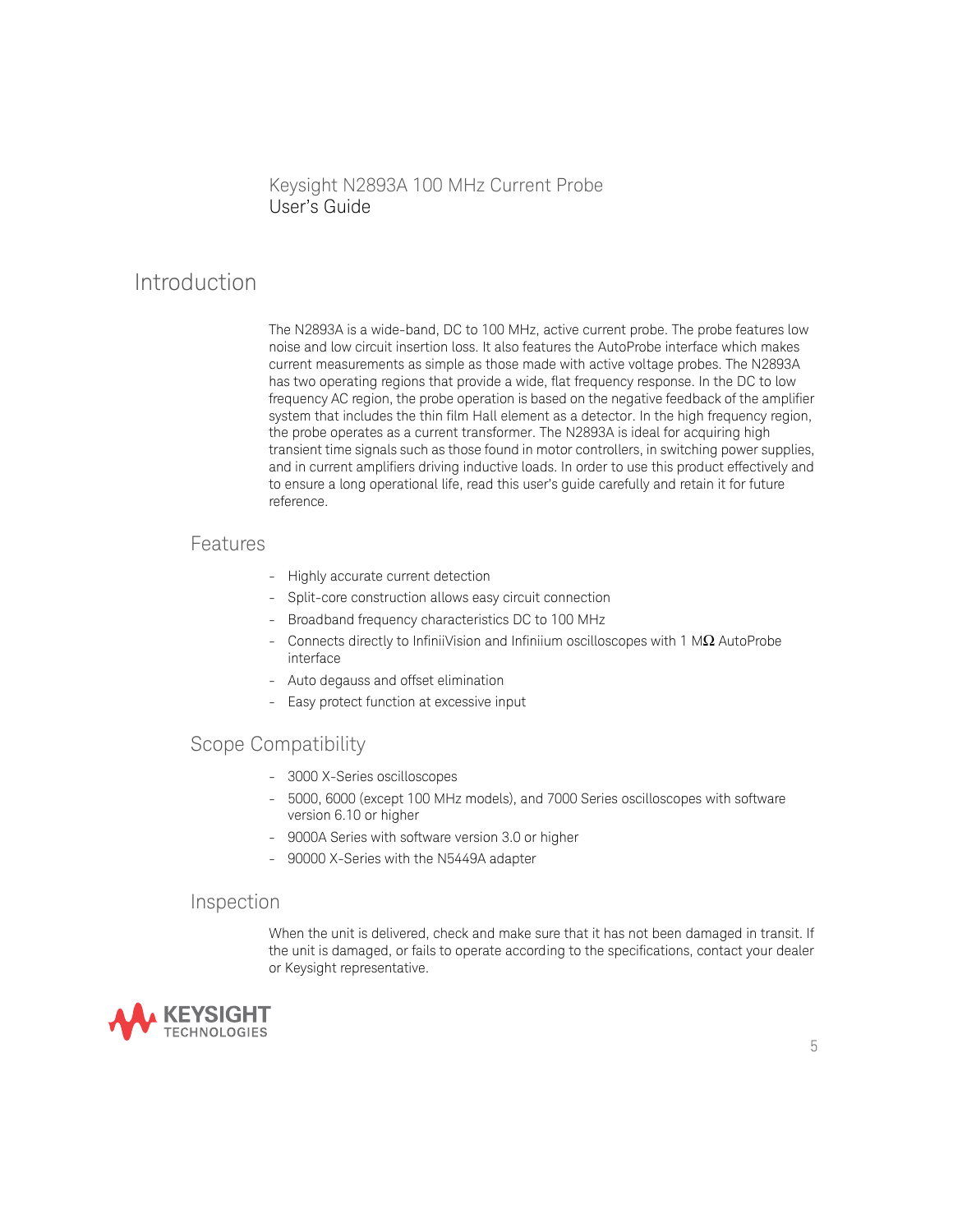# Keysight N2893A 100 MHz Current Probe User's Guide

# <span id="page-4-0"></span>Introduction

<span id="page-4-4"></span>The N2893A is a wide-band, DC to 100 MHz, active current probe. The probe features low noise and low circuit insertion loss. It also features the AutoProbe interface which makes current measurements as simple as those made with active voltage probes. The N2893A has two operating regions that provide a wide, flat frequency response. In the DC to low frequency AC region, the probe operation is based on the negative feedback of the amplifier system that includes the thin film Hall element as a detector. In the high frequency region, the probe operates as a current transformer. The N2893A is ideal for acquiring high transient time signals such as those found in motor controllers, in switching power supplies, and in current amplifiers driving inductive loads. In order to use this product effectively and to ensure a long operational life, read this user's guide carefully and retain it for future reference.

# <span id="page-4-1"></span>Features

- Highly accurate current detection
- Split-core construction allows easy circuit connection
- Broadband frequency characteristics DC to 100 MHz
- Connects directly to InfiniiVision and Infiniium oscilloscopes with 1 M $\Omega$  AutoProbe interface
- Auto degauss and offset elimination
- Easy protect function at excessive input

# <span id="page-4-2"></span>Scope Compatibility

- 3000 X-Series oscilloscopes
- 5000, 6000 (except 100 MHz models), and 7000 Series oscilloscopes with software version 6.10 or higher
- 9000A Series with software version 3.0 or higher
- 90000 X-Series with the N5449A adapter

# <span id="page-4-5"></span><span id="page-4-3"></span>Inspection

When the unit is delivered, check and make sure that it has not been damaged in transit. If the unit is damaged, or fails to operate according to the specifications, contact your dealer or Keysight representative.

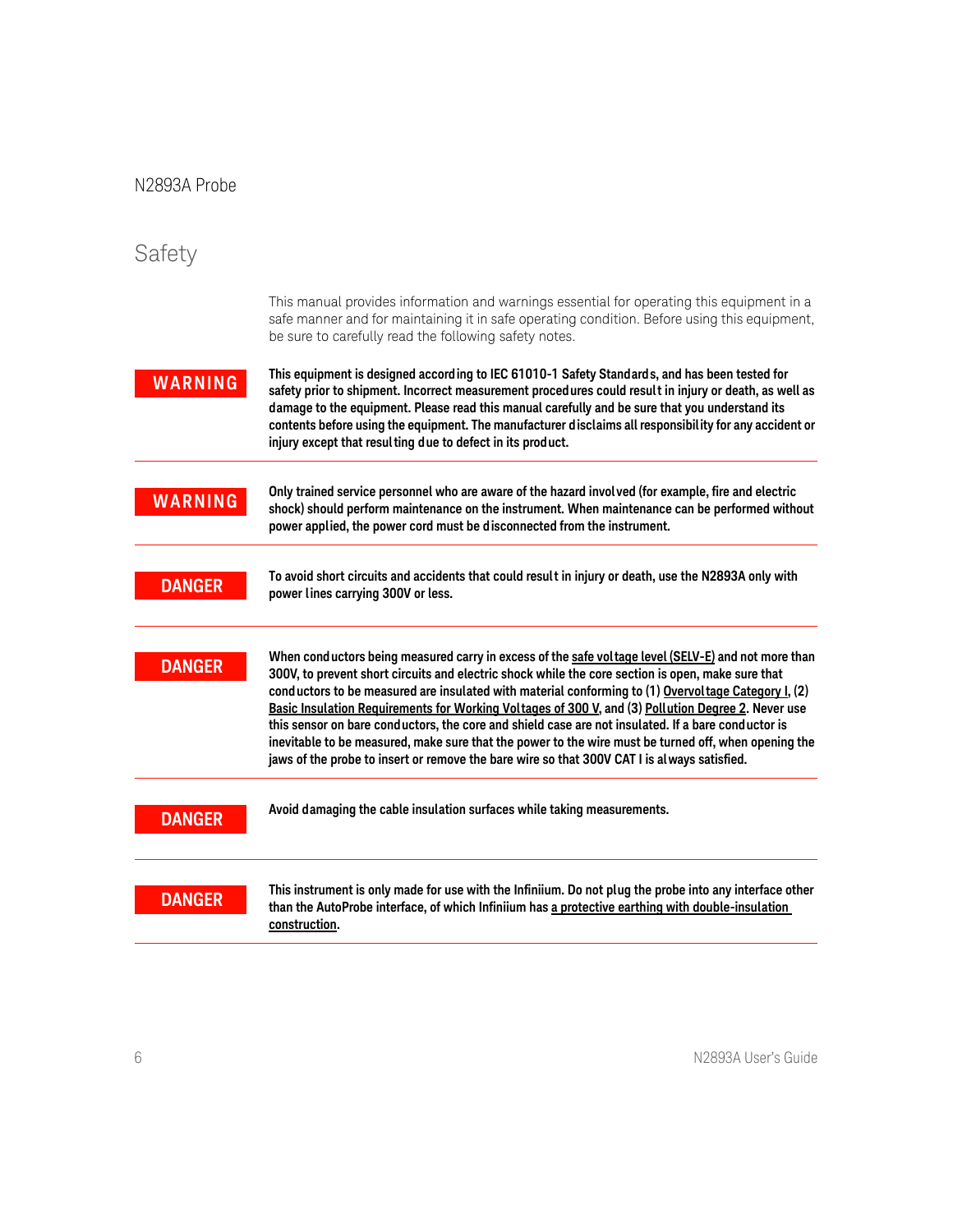# <span id="page-5-0"></span>Safety

<span id="page-5-3"></span><span id="page-5-1"></span>This manual provides information and warnings essential for operating this equipment in a safe manner and for maintaining it in safe operating condition. Before using this equipment, be sure to carefully read the following safety notes.

**WARNING** This equipment is designed according to IEC 61010-1 Safety Standards, and has been tested for **WARNING safety prior to shipment. Incorrect measurement procedures could result in injury or death, as well as damage to the equipment. Please read this manual carefully and be sure that you understand its contents before using the equipment. The manufacturer disclaims all responsibility for any accident or injury except that resulting due to defect in its product.**

**WARNING** Only trained service personnel who are aware of the hazard involved (for example, fire and electric **WARNING shock) should perform maintenance on the instrument. When maintenance can be performed without power applied, the power cord must be disconnected from the instrument.**

**DANGER To avoid short circuits and accidents that could result in injury or death, use the N2893A only with <br>
<b>DANGER The Secret Ince of the CAOV of less power lines carrying 300V or less.**

<span id="page-5-4"></span><span id="page-5-2"></span>**DANGER** When conductors being measured carry in excess of the safe voltage level (SELV-E) and not more than **DANGER 300V, to prevent short circuits and electric shock while the core section is open, make sure that conductors to be measured are insulated with material conforming to (1) Overvoltage Category I, (2) Basic Insulation Requirements for Working Voltages of 300 V, and (3) Pollution Degree 2. Never use this sensor on bare conductors, the core and shield case are not insulated. If a bare conductor is inevitable to be measured, make sure that the power to the wire must be turned off, when opening the jaws of the probe to insert or remove the bare wire so that 300V CAT I is always satisfied.**

**DANGER** Avoid damaging the cable insulation surfaces while taking measurements.

**DANGER** This instrument is only made for use with the Infiniium. Do not plug the probe into any interface other <br>**DANGER** then the AutoDrabe interface, of which Infiniium has a protective earthing with devials insulation. **than the AutoProbe interface, of which Infiniium has a protective earthing with double-insulation construction.**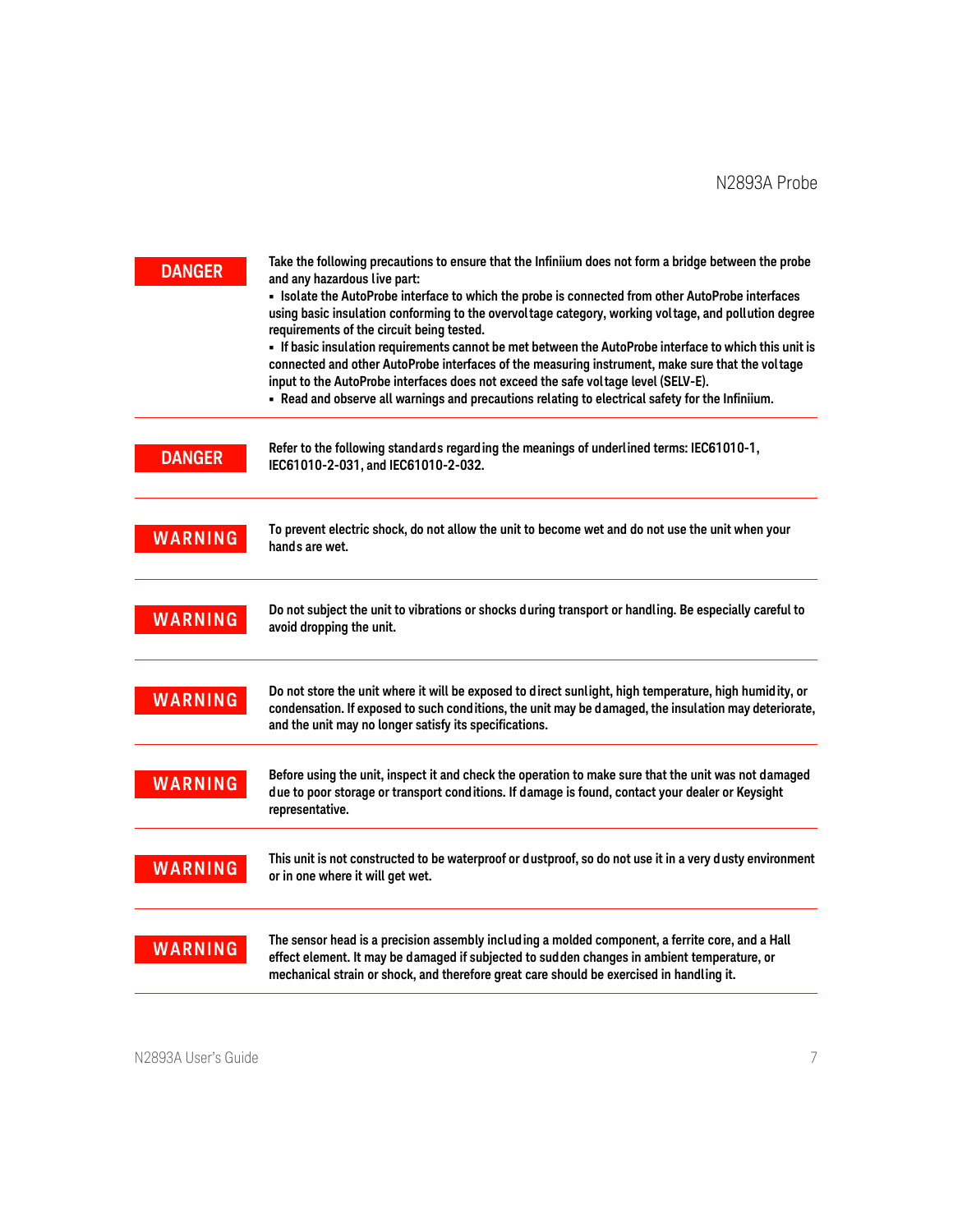| <b>DANGER</b>  | Take the following precautions to ensure that the Infiniium does not form a bridge between the probe<br>and any hazardous live part:<br>- Isolate the AutoProbe interface to which the probe is connected from other AutoProbe interfaces<br>using basic insulation conforming to the overvoltage category, working voltage, and pollution degree<br>requirements of the circuit being tested.<br>- If basic insulation requirements cannot be met between the AutoProbe interface to which this unit is<br>connected and other AutoProbe interfaces of the measuring instrument, make sure that the voltage<br>input to the AutoProbe interfaces does not exceed the safe voltage level (SELV-E).<br>- Read and observe all warnings and precautions relating to electrical safety for the Infiniium. |
|----------------|--------------------------------------------------------------------------------------------------------------------------------------------------------------------------------------------------------------------------------------------------------------------------------------------------------------------------------------------------------------------------------------------------------------------------------------------------------------------------------------------------------------------------------------------------------------------------------------------------------------------------------------------------------------------------------------------------------------------------------------------------------------------------------------------------------|
| <b>DANGER</b>  | Refer to the following standards regarding the meanings of underlined terms: IEC61010-1,<br>IEC61010-2-031, and IEC61010-2-032.                                                                                                                                                                                                                                                                                                                                                                                                                                                                                                                                                                                                                                                                        |
| <b>WARNING</b> | To prevent electric shock, do not allow the unit to become wet and do not use the unit when your<br>hands are wet.                                                                                                                                                                                                                                                                                                                                                                                                                                                                                                                                                                                                                                                                                     |
| <b>WARNING</b> | Do not subject the unit to vibrations or shocks during transport or handling. Be especially careful to<br>avoid dropping the unit.                                                                                                                                                                                                                                                                                                                                                                                                                                                                                                                                                                                                                                                                     |
| <b>WARNING</b> | Do not store the unit where it will be exposed to direct sunlight, high temperature, high humidity, or<br>condensation. If exposed to such conditions, the unit may be damaged, the insulation may deteriorate,<br>and the unit may no longer satisfy its specifications.                                                                                                                                                                                                                                                                                                                                                                                                                                                                                                                              |
| <b>WARNING</b> | Before using the unit, inspect it and check the operation to make sure that the unit was not damaged<br>due to poor storage or transport conditions. If damage is found, contact your dealer or Keysight<br>representative.                                                                                                                                                                                                                                                                                                                                                                                                                                                                                                                                                                            |
| <b>WARNING</b> | This unit is not constructed to be waterproof or dustproof, so do not use it in a very dusty environment<br>or in one where it will get wet.                                                                                                                                                                                                                                                                                                                                                                                                                                                                                                                                                                                                                                                           |
| <b>WARNING</b> | The sensor head is a precision assembly including a molded component, a ferrite core, and a Hall<br>effect element. It may be damaged if subjected to sudden changes in ambient temperature, or<br>mechanical strain or shock, and therefore great care should be exercised in handling it.                                                                                                                                                                                                                                                                                                                                                                                                                                                                                                            |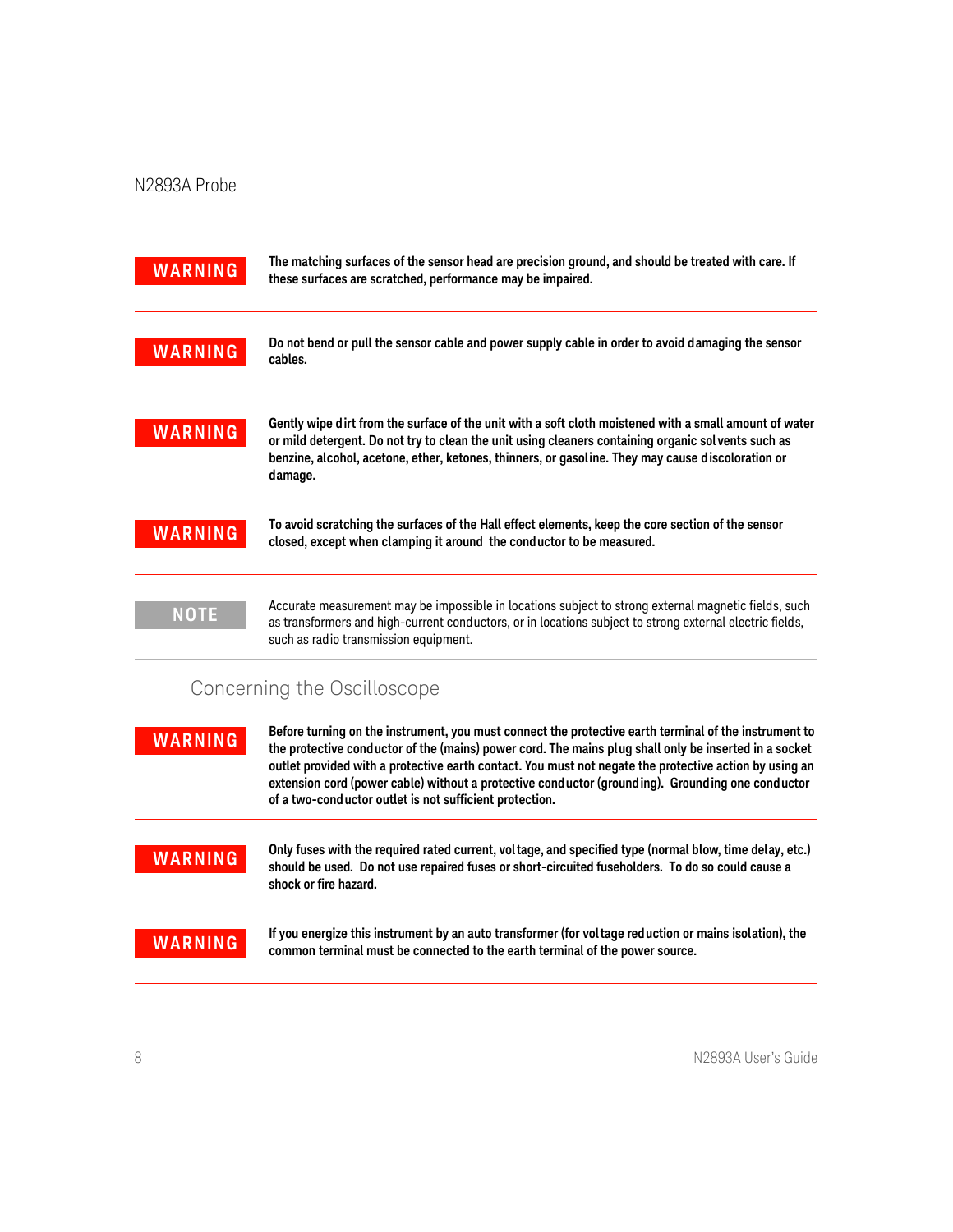# N2893A Probe

<span id="page-7-1"></span>

| The matching surfaces of the sensor head are precision ground, and should be treated with care. If<br>these surfaces are scratched, performance may be impaired.                                                                                                                                                                                                                                                                                                                        |
|-----------------------------------------------------------------------------------------------------------------------------------------------------------------------------------------------------------------------------------------------------------------------------------------------------------------------------------------------------------------------------------------------------------------------------------------------------------------------------------------|
| Do not bend or pull the sensor cable and power supply cable in order to avoid damaging the sensor<br>cables.                                                                                                                                                                                                                                                                                                                                                                            |
| Gently wipe dirt from the surface of the unit with a soft cloth moistened with a small amount of water<br>or mild detergent. Do not try to clean the unit using cleaners containing organic solvents such as<br>benzine, alcohol, acetone, ether, ketones, thinners, or gasoline. They may cause discoloration or<br>damage.                                                                                                                                                            |
| To avoid scratching the surfaces of the Hall effect elements, keep the core section of the sensor<br>closed, except when clamping it around the conductor to be measured.                                                                                                                                                                                                                                                                                                               |
| Accurate measurement may be impossible in locations subject to strong external magnetic fields, such<br>as transformers and high-current conductors, or in locations subject to strong external electric fields,<br>such as radio transmission equipment.                                                                                                                                                                                                                               |
| Concerning the Oscilloscope                                                                                                                                                                                                                                                                                                                                                                                                                                                             |
| Before turning on the instrument, you must connect the protective earth terminal of the instrument to<br>the protective conductor of the (mains) power cord. The mains plug shall only be inserted in a socket<br>outlet provided with a protective earth contact. You must not negate the protective action by using an<br>extension cord (power cable) without a protective conductor (grounding). Grounding one conductor<br>of a two-conductor outlet is not sufficient protection. |
| Only fuses with the required rated current, voltage, and specified type (normal blow, time delay, etc.)<br>should be used. Do not use repaired fuses or short-circuited fuseholders. To do so could cause a<br>shock or fire hazard.                                                                                                                                                                                                                                                    |
|                                                                                                                                                                                                                                                                                                                                                                                                                                                                                         |

<span id="page-7-0"></span>**WARNING** If you energize this instrument by an auto transformer (for voltage reduction or mains isolation), the common terminal must be connected to the earth terminal of the power source.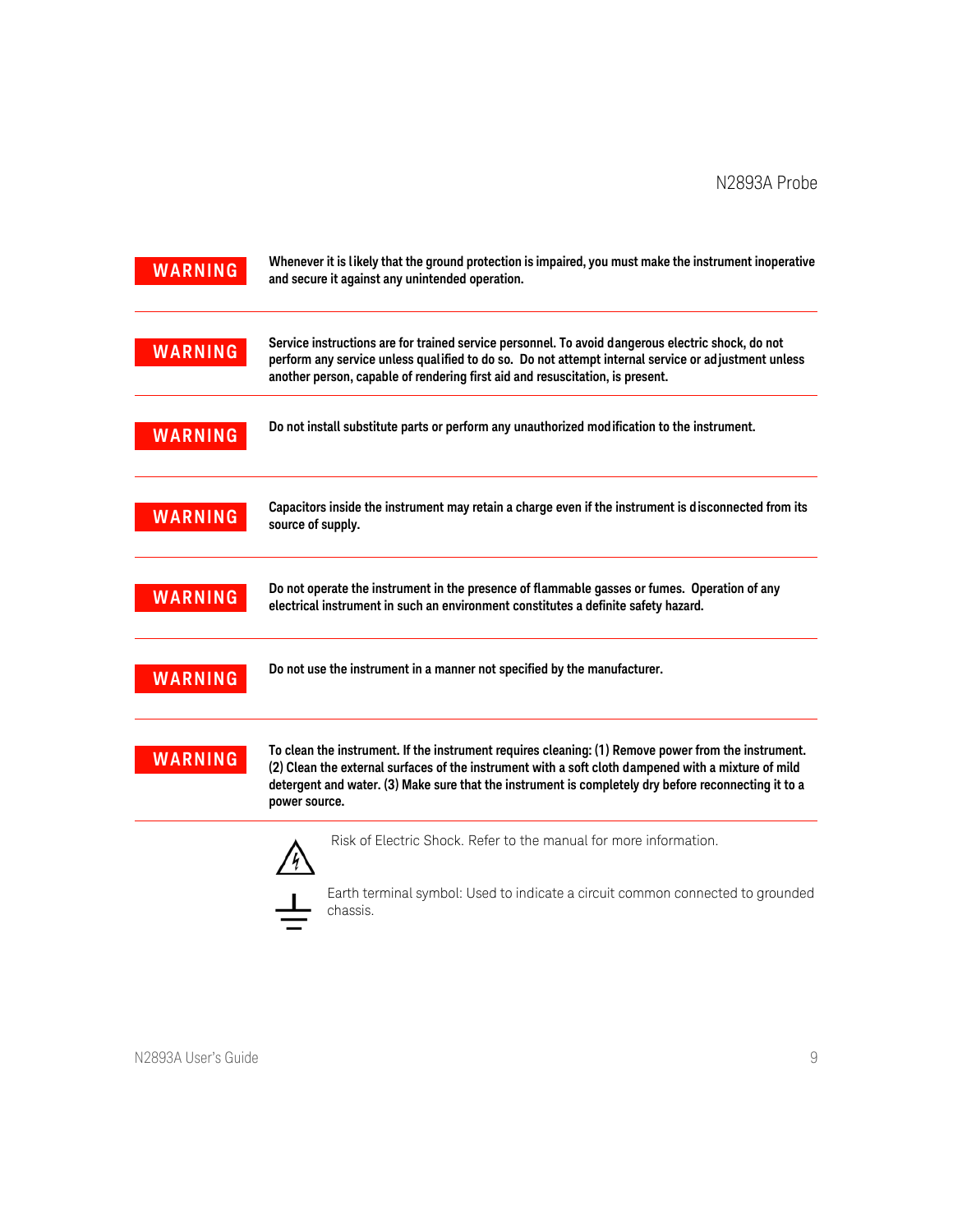| <b>WARNING</b> | Whenever it is likely that the ground protection is impaired, you must make the instrument inoperative<br>and secure it against any unintended operation.                                                                                                                                                                           |  |
|----------------|-------------------------------------------------------------------------------------------------------------------------------------------------------------------------------------------------------------------------------------------------------------------------------------------------------------------------------------|--|
| <b>WARNING</b> | Service instructions are for trained service personnel. To avoid dangerous electric shock, do not<br>perform any service unless qualified to do so. Do not attempt internal service or adjustment unless<br>another person, capable of rendering first aid and resuscitation, is present.                                           |  |
| <b>WARNING</b> | Do not install substitute parts or perform any unauthorized modification to the instrument.                                                                                                                                                                                                                                         |  |
| <b>WARNING</b> | Capacitors inside the instrument may retain a charge even if the instrument is disconnected from its<br>source of supply.                                                                                                                                                                                                           |  |
| <b>WARNING</b> | Do not operate the instrument in the presence of flammable gasses or fumes. Operation of any<br>electrical instrument in such an environment constitutes a definite safety hazard.                                                                                                                                                  |  |
| <b>WARNING</b> | Do not use the instrument in a manner not specified by the manufacturer.                                                                                                                                                                                                                                                            |  |
| <b>WARNING</b> | To clean the instrument. If the instrument requires cleaning: (1) Remove power from the instrument.<br>(2) Clean the external surfaces of the instrument with a soft cloth dampened with a mixture of mild<br>detergent and water. (3) Make sure that the instrument is completely dry before reconnecting it to a<br>power source. |  |
|                | Risk of Electric Shock. Refer to the manual for more information.                                                                                                                                                                                                                                                                   |  |
|                | Earth terminal symbol: Used to indicate a circuit common connected to grounded<br>chassis.                                                                                                                                                                                                                                          |  |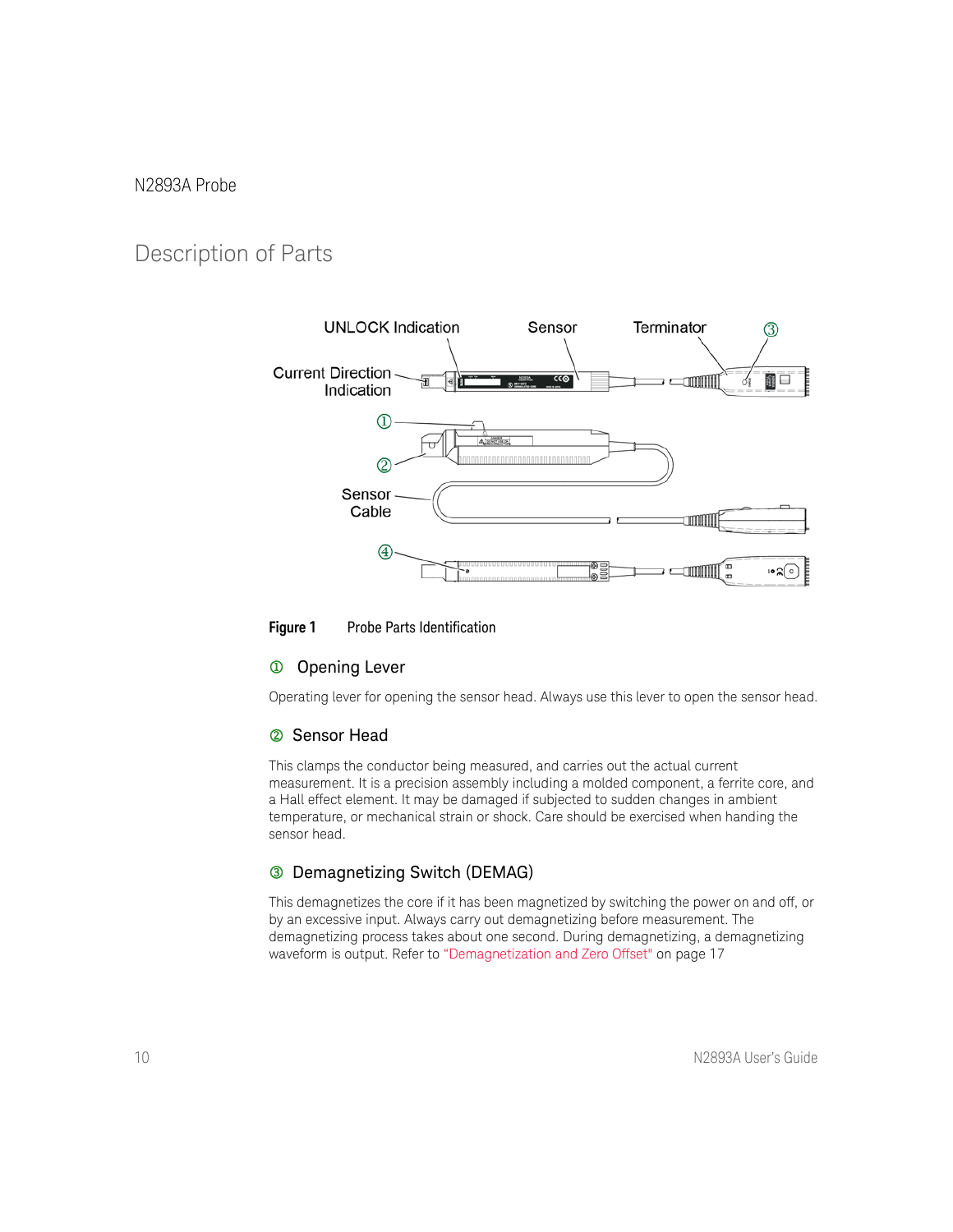# <span id="page-9-0"></span>Description of Parts



### <span id="page-9-5"></span><span id="page-9-1"></span>**Figure 1** Probe Parts Identification

# <span id="page-9-4"></span>**<sup>1</sup>** Opening Lever

Operating lever for opening the sensor head. Always use this lever to open the sensor head.

### <span id="page-9-6"></span><sup>2</sup> Sensor Head

This clamps the conductor being measured, and carries out the actual current measurement. It is a precision assembly including a molded component, a ferrite core, and a Hall effect element. It may be damaged if subjected to sudden changes in ambient temperature, or mechanical strain or shock. Care should be exercised when handing the sensor head.

# <span id="page-9-3"></span><span id="page-9-2"></span>**3** Demagnetizing Switch (DEMAG)

This demagnetizes the core if it has been magnetized by switching the power on and off, or by an excessive input. Always carry out demagnetizing before measurement. The demagnetizing process takes about one second. During demagnetizing, a demagnetizing waveform is output. Refer to ["Demagnetization and Zero Offset"](#page-16-0) on page 17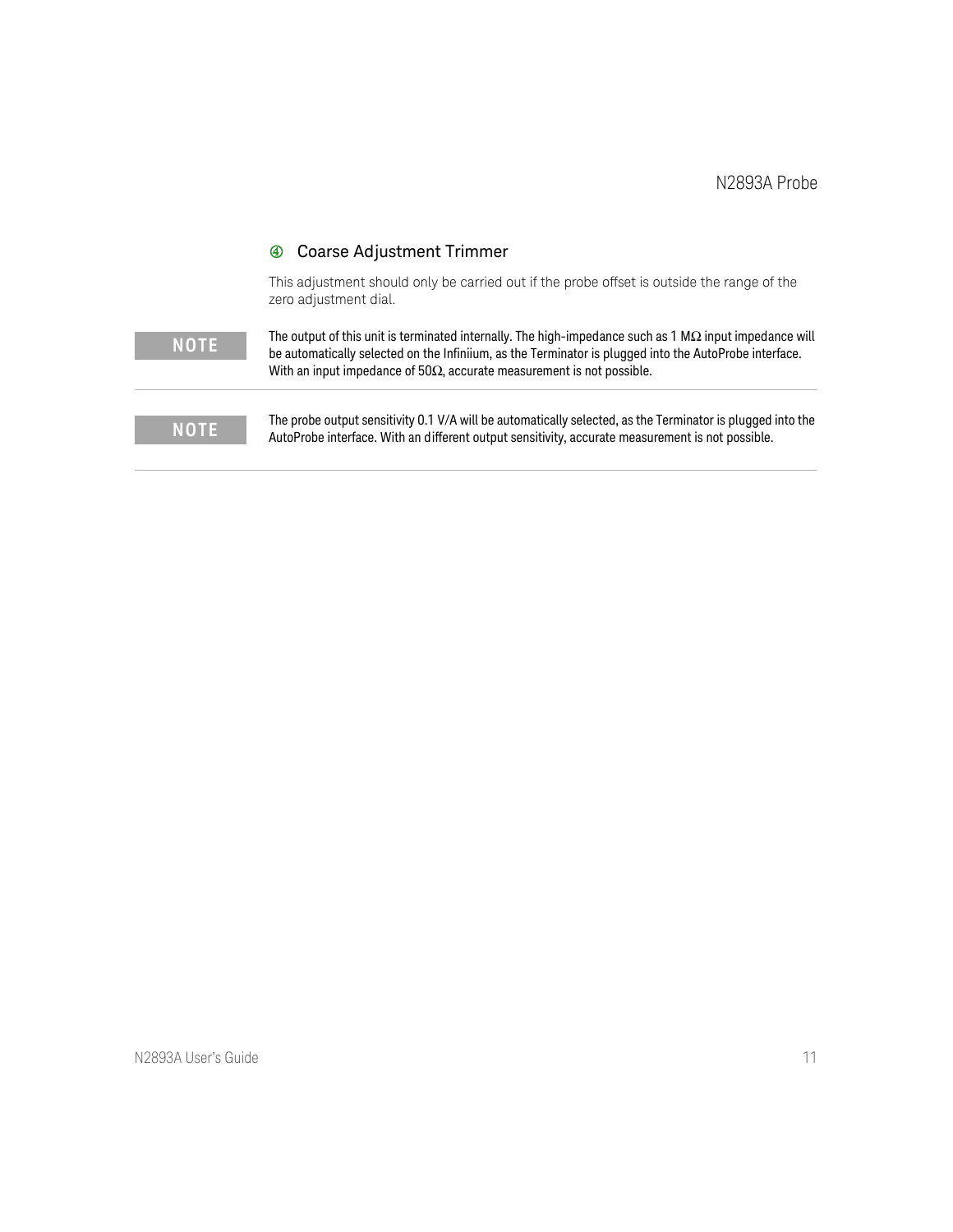# <span id="page-10-0"></span>**4** Coarse Adjustment Trimmer

This adjustment should only be carried out if the probe offset is outside the range of the zero adjustment dial.

The output of this unit is terminated internally. The high-impedance such as 1 MΩ input impedance will<br>NOTE has utermatically colocted on the Infinium as the Terminater is plugged into the AutoProbe interface. be automatically selected on the Infiniium, as the Terminator is plugged into the AutoProbe interface. With an input impedance of 50 $\Omega$ , accurate measurement is not possible.

**NOTE** The probe output sensitivity 0.1 V/A will be automatically selected, as the Terminator is plugged into the **NOTE** AutoProbe interface. With an different output sensitivity, accurate measurement is not possible.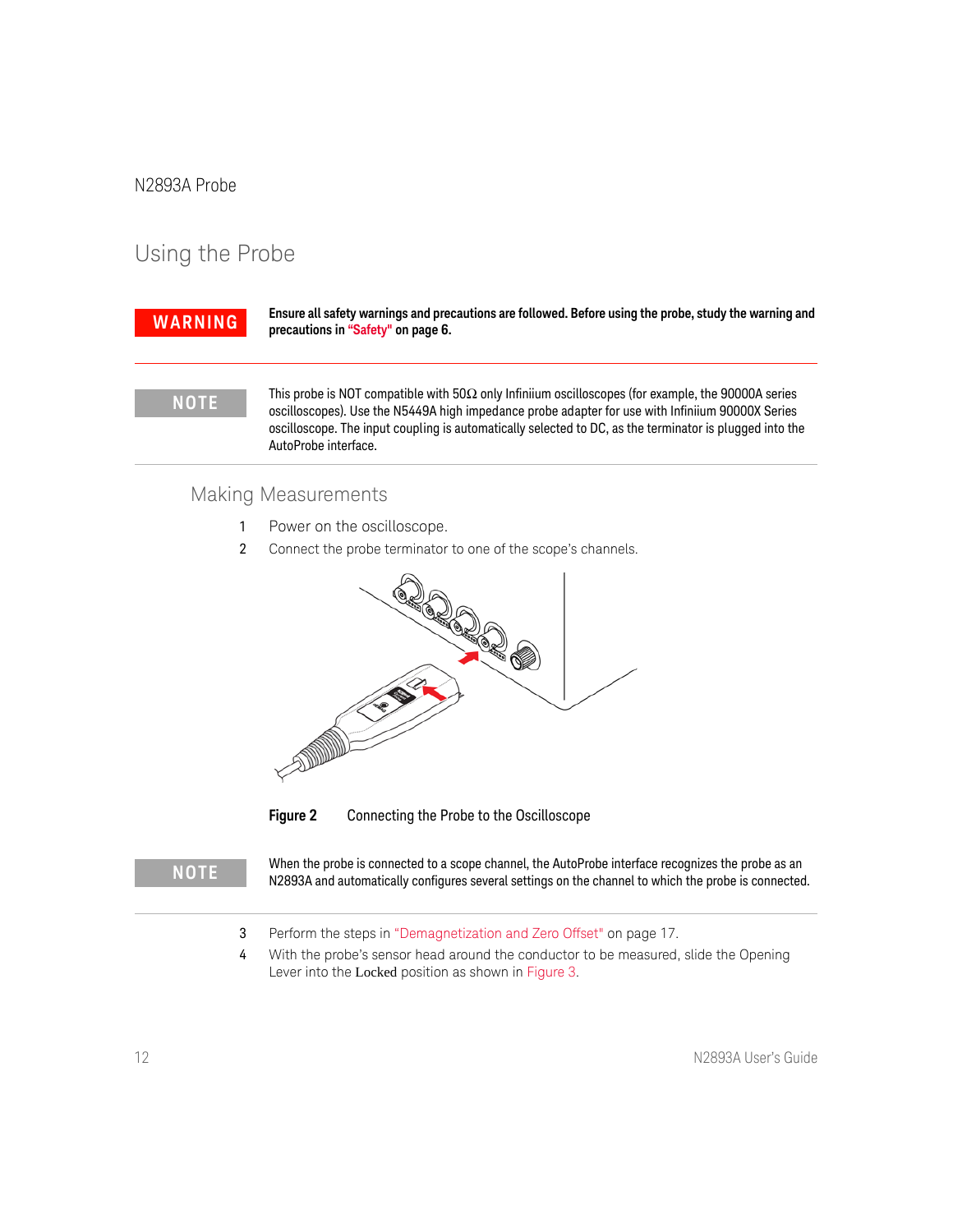# <span id="page-11-0"></span>Using the Probe

**WARNING Ensure all safety warnings and precautions are followed. Before using the probe, study the warning and <b>WARNING precautions in "Safety" [on page 6](#page-5-0).**

**NOTE** This probe is NOT compatible with 50Ω only Infiniium oscilloscopes (for example, the 90000A series oscilloscopes). Use the N5449A high impedance probe adapter for use with Infiniium 90000X Series oscilloscope. The input coupling is automatically selected to DC, as the terminator is plugged into the AutoProbe interface.

# <span id="page-11-1"></span>Making Measurements

- 1 Power on the oscilloscope.
- 2 Connect the probe terminator to one of the scope's channels.

<span id="page-11-3"></span>

<span id="page-11-2"></span>

**NOTE** When the probe is connected to a scope channel, the AutoProbe interface recognizes the probe as an <br>NOTE N20024 and outproticelly configures coursel esttings an the channel to which the probe is connected N2893A and automatically configures several settings on the channel to which the probe is connected.

- 3 Perform the steps in ["Demagnetization and Zero Offset"](#page-16-0) on page 17.
- 4 With the probe's sensor head around the conductor to be measured, slide the Opening Lever into the Locked position as shown in [Figure 3](#page-12-0).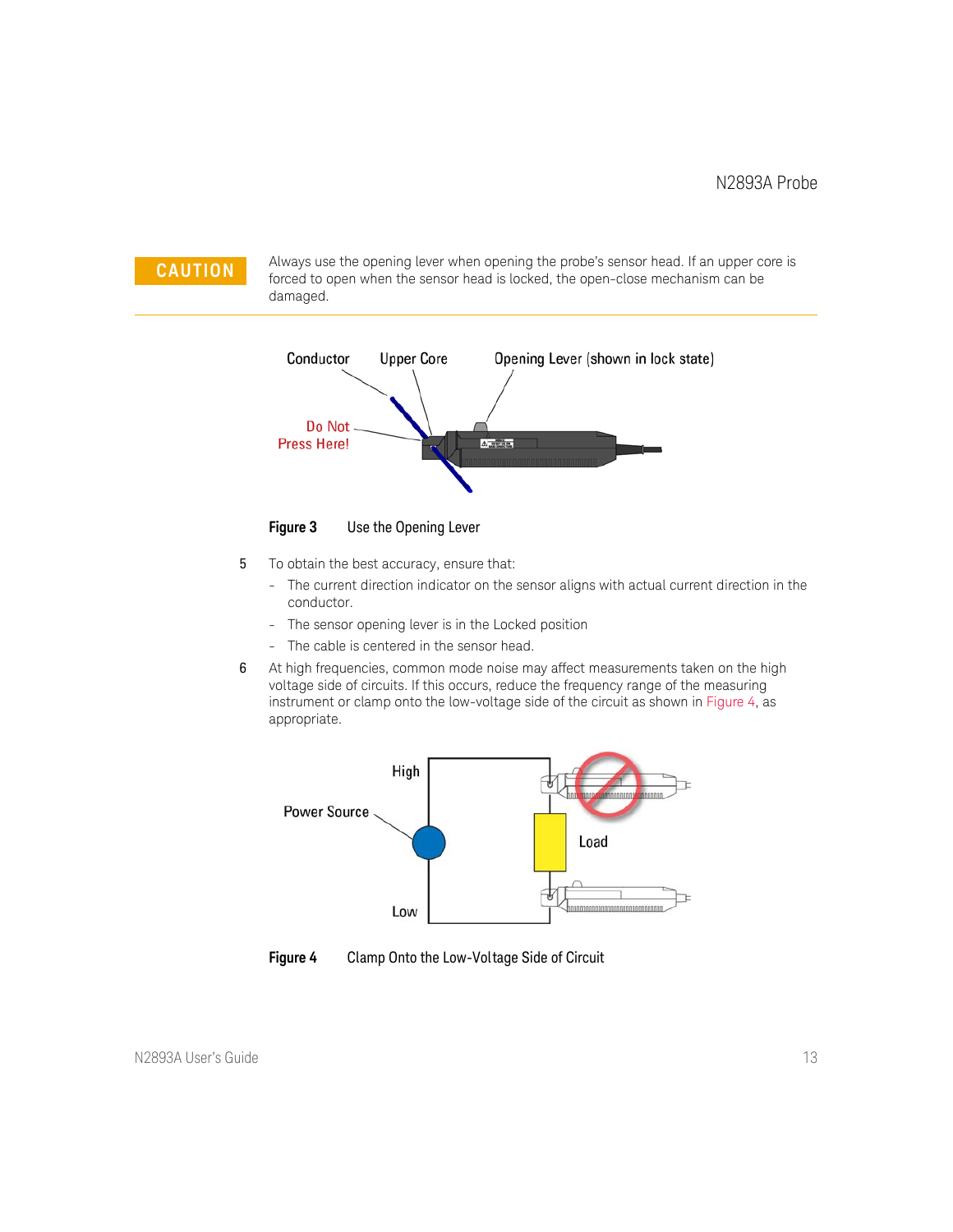**CAUTION** Always use the opening lever when opening the probe's sensor head. If an upper core is forced to open when the sensor head is looked, the open close mechanism can be forced to open when the sensor head is locked, the open-close mechanism can be damaged.

<span id="page-12-5"></span><span id="page-12-4"></span>

<span id="page-12-2"></span><span id="page-12-0"></span>

- 5 To obtain the best accuracy, ensure that:
	- The current direction indicator on the sensor aligns with actual current direction in the conductor.
	- The sensor opening lever is in the Locked position
	- The cable is centered in the sensor head.
- <span id="page-12-3"></span>6 At high frequencies, common mode noise may affect measurements taken on the high voltage side of circuits. If this occurs, reduce the frequency range of the measuring instrument or clamp onto the low-voltage side of the circuit as shown in [Figure 4](#page-12-1), as appropriate.



<span id="page-12-1"></span>**Figure 4** Clamp Onto the Low-Voltage Side of Circuit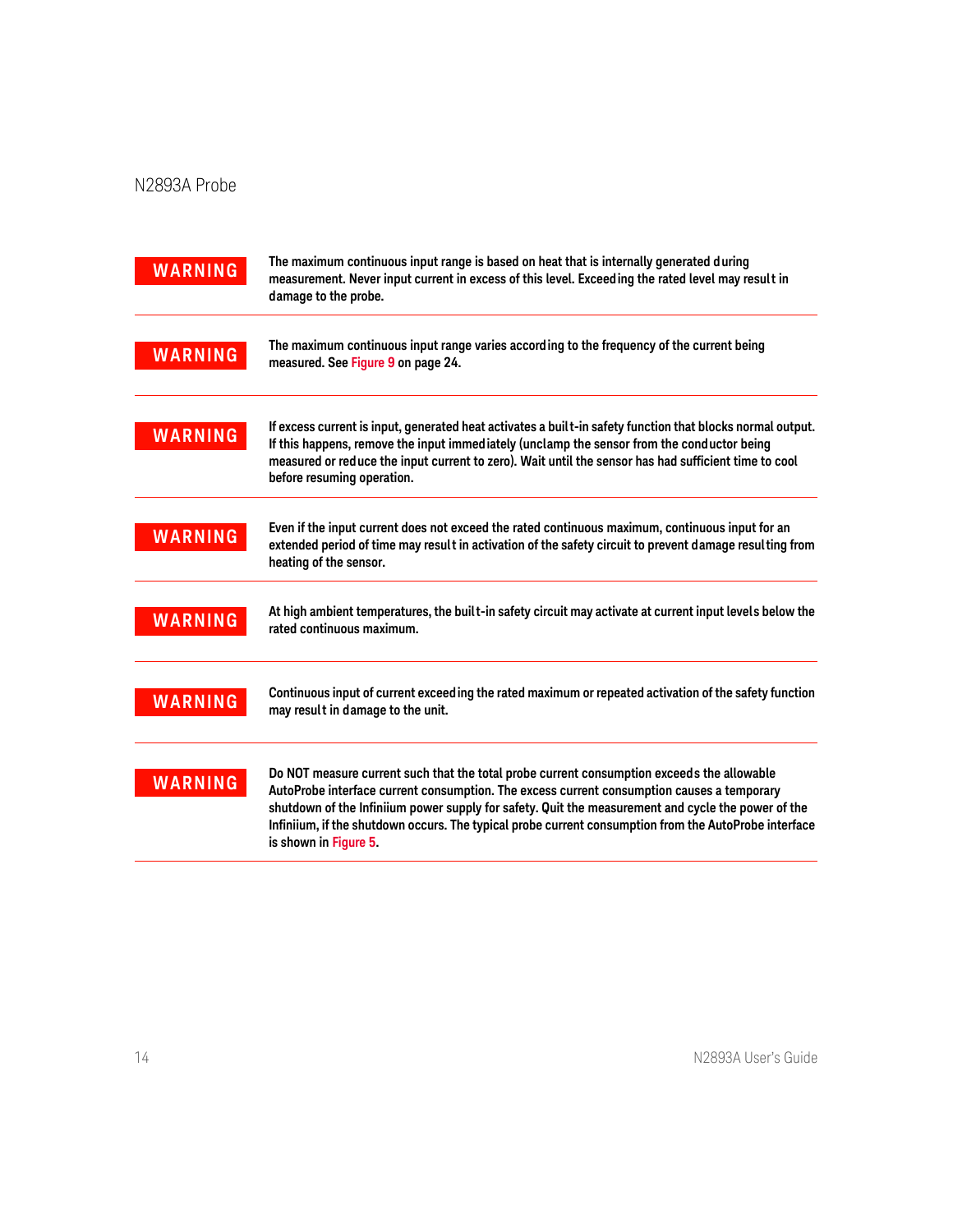| <b>WARNING</b> | The maximum continuous input range is based on heat that is internally generated during<br>measurement. Never input current in excess of this level. Exceeding the rated level may result in<br>damage to the probe.                                                                                                                                                                                                             |
|----------------|----------------------------------------------------------------------------------------------------------------------------------------------------------------------------------------------------------------------------------------------------------------------------------------------------------------------------------------------------------------------------------------------------------------------------------|
| <b>WARNING</b> | The maximum continuous input range varies according to the frequency of the current being<br>measured. See Figure 9 on page 24.                                                                                                                                                                                                                                                                                                  |
| <b>WARNING</b> | If excess current is input, generated heat activates a built-in safety function that blocks normal output.<br>If this happens, remove the input immediately (unclamp the sensor from the conductor being<br>measured or reduce the input current to zero). Wait until the sensor has had sufficient time to cool<br>before resuming operation.                                                                                   |
| <b>WARNING</b> | Even if the input current does not exceed the rated continuous maximum, continuous input for an<br>extended period of time may result in activation of the safety circuit to prevent damage resulting from<br>heating of the sensor.                                                                                                                                                                                             |
| <b>WARNING</b> | At high ambient temperatures, the built-in safety circuit may activate at current input levels below the<br>rated continuous maximum.                                                                                                                                                                                                                                                                                            |
| <b>WARNING</b> | Continuous input of current exceeding the rated maximum or repeated activation of the safety function<br>may result in damage to the unit.                                                                                                                                                                                                                                                                                       |
| <b>WARNING</b> | Do NOT measure current such that the total probe current consumption exceeds the allowable<br>AutoProbe interface current consumption. The excess current consumption causes a temporary<br>shutdown of the Infiniium power supply for safety. Quit the measurement and cycle the power of the<br>Infiniium, if the shutdown occurs. The typical probe current consumption from the AutoProbe interface<br>is shown in Figure 5. |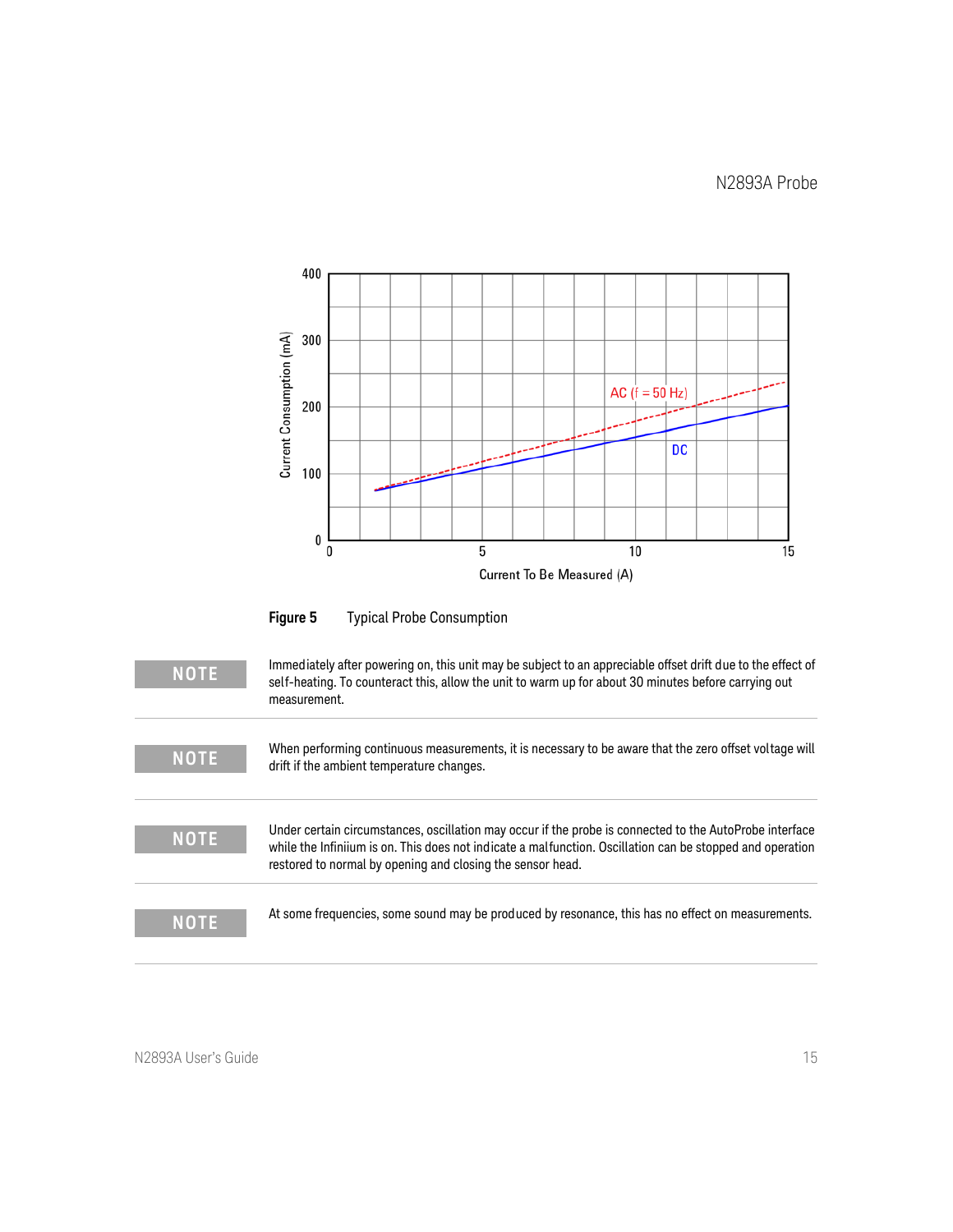

# <span id="page-14-0"></span>**Figure 5** Typical Probe Consumption

| <b>NOTE</b> | Immediately after powering on, this unit may be subject to an appreciable offset drift due to the effect of<br>self-heating. To counteract this, allow the unit to warm up for about 30 minutes before carrying out<br>measurement.                                                |
|-------------|------------------------------------------------------------------------------------------------------------------------------------------------------------------------------------------------------------------------------------------------------------------------------------|
| <b>NOTE</b> | When performing continuous measurements, it is necessary to be aware that the zero offset voltage will<br>drift if the ambient temperature changes.                                                                                                                                |
| <b>NOTE</b> | Under certain circumstances, oscillation may occur if the probe is connected to the AutoProbe interface<br>while the Infiniium is on. This does not indicate a malfunction. Oscillation can be stopped and operation<br>restored to normal by opening and closing the sensor head. |
| <b>NOTE</b> | At some frequencies, some sound may be produced by resonance, this has no effect on measurements.                                                                                                                                                                                  |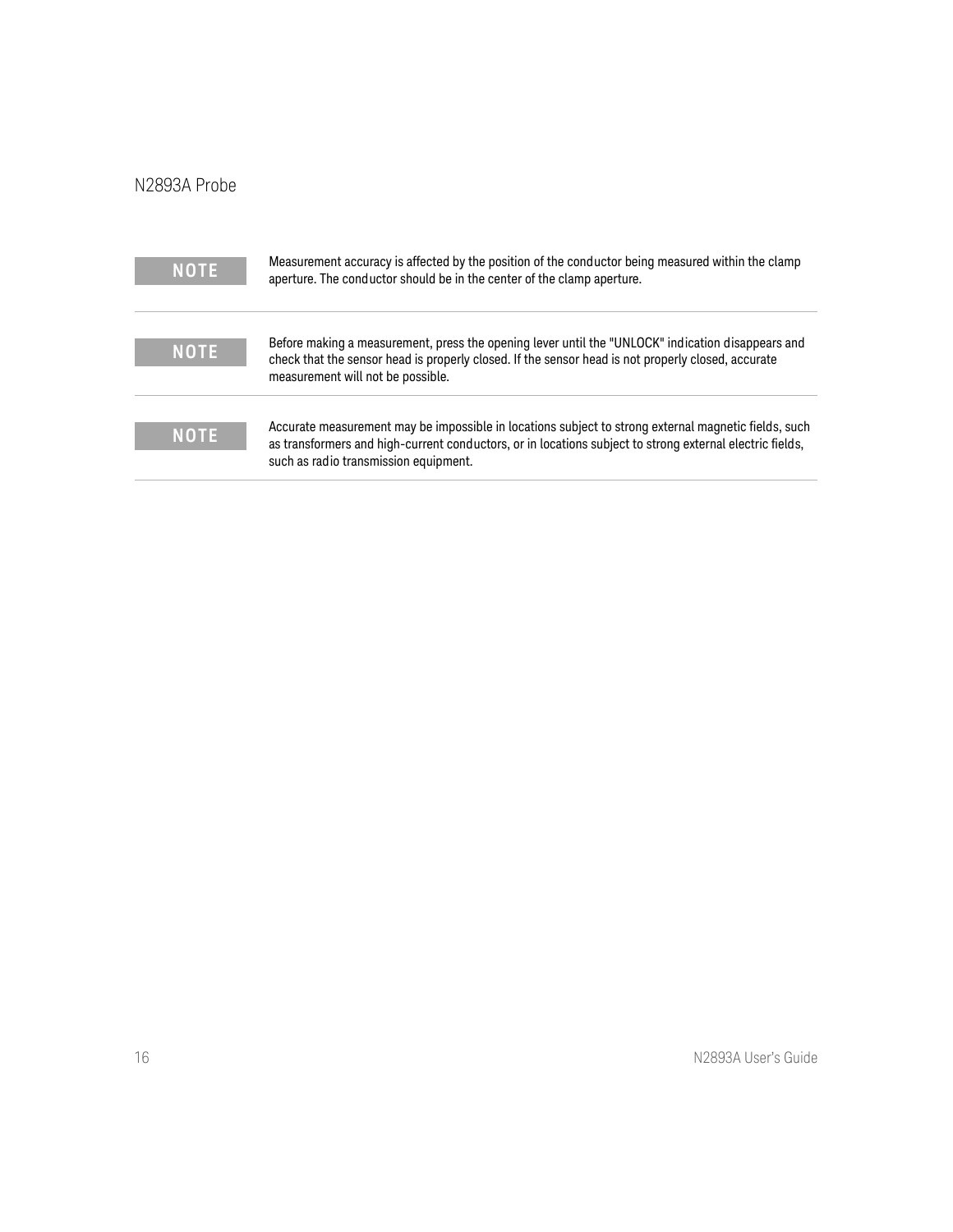# N2893A Probe

| NOTE.       | Measurement accuracy is affected by the position of the conductor being measured within the clamp<br>aperture. The conductor should be in the center of the clamp aperture.                                                                               |  |
|-------------|-----------------------------------------------------------------------------------------------------------------------------------------------------------------------------------------------------------------------------------------------------------|--|
| <b>NOTE</b> | Before making a measurement, press the opening lever until the "UNLOCK" indication disappears and<br>check that the sensor head is properly closed. If the sensor head is not properly closed, accurate<br>measurement will not be possible.              |  |
| <b>NOTE</b> | Accurate measurement may be impossible in locations subject to strong external magnetic fields, such<br>as transformers and high-current conductors, or in locations subject to strong external electric fields,<br>such as radio transmission equipment. |  |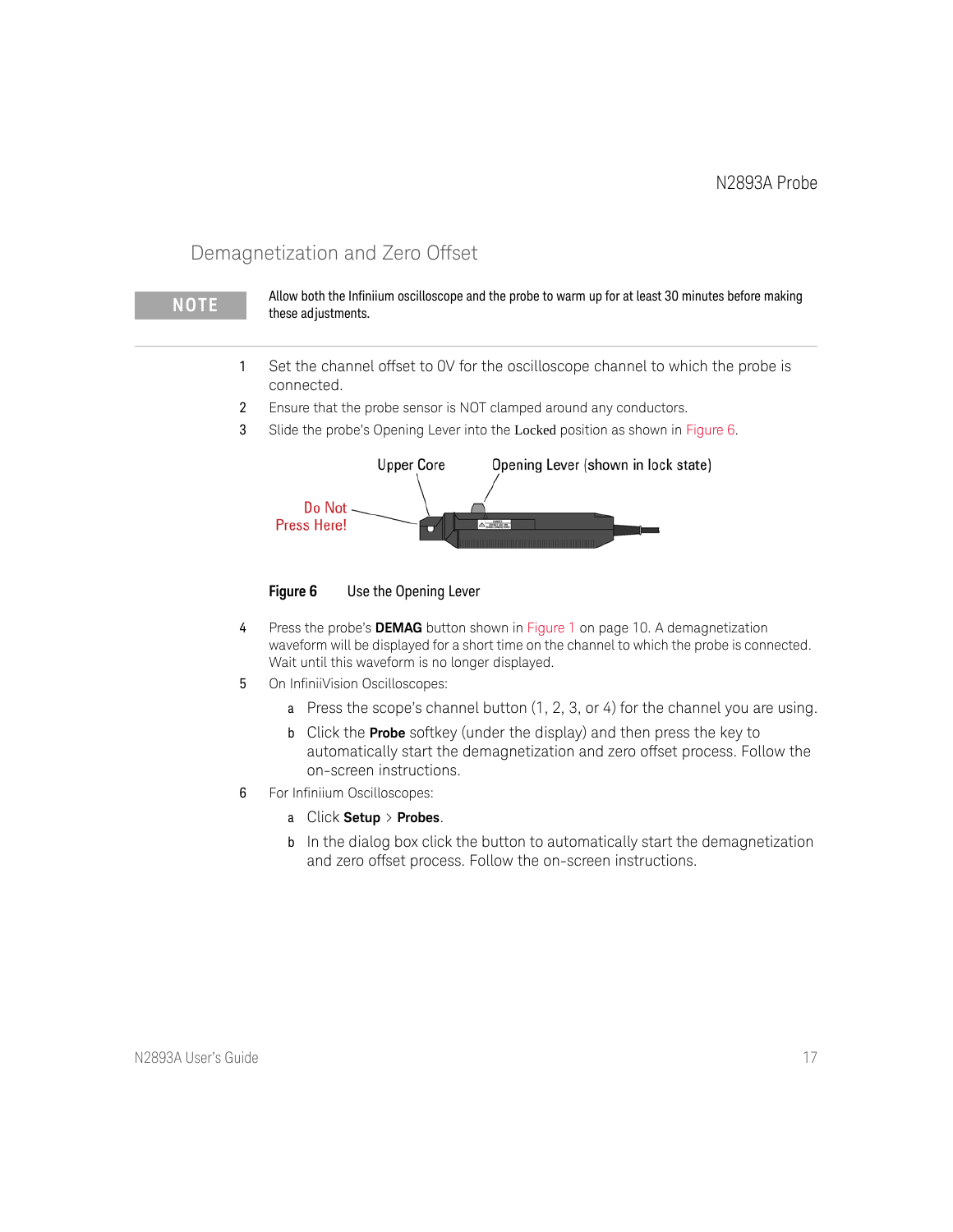# <span id="page-16-0"></span>Demagnetization and Zero Offset

**NOTE** Allow both the Infiniium oscilloscope and the probe to warm up for at least 30 minutes before making these adjustments.

- 1 Set the channel offset to 0V for the oscilloscope channel to which the probe is connected.
- 2 Ensure that the probe sensor is NOT clamped around any conductors.
- 3 Slide the probe's Opening Lever into the Locked position as shown in [Figure 6](#page-16-1).



<span id="page-16-2"></span><span id="page-16-1"></span>

- 4 Press the probe's **DEMAG** button shown in [Figure 1 on page 10](#page-9-1). A demagnetization waveform will be displayed for a short time on the channel to which the probe is connected. Wait until this waveform is no longer displayed.
- 5 On InfiniiVision Oscilloscopes:
	- a Press the scope's channel button (1, 2, 3, or 4) for the channel you are using.
	- b Click the **Probe** softkey (under the display) and then press the key to automatically start the demagnetization and zero offset process. Follow the on-screen instructions.
- 6 For Infiniium Oscilloscopes:
	- a Click **Setup** > **Probes**.
	- b In the dialog box click the button to automatically start the demagnetization and zero offset process. Follow the on-screen instructions.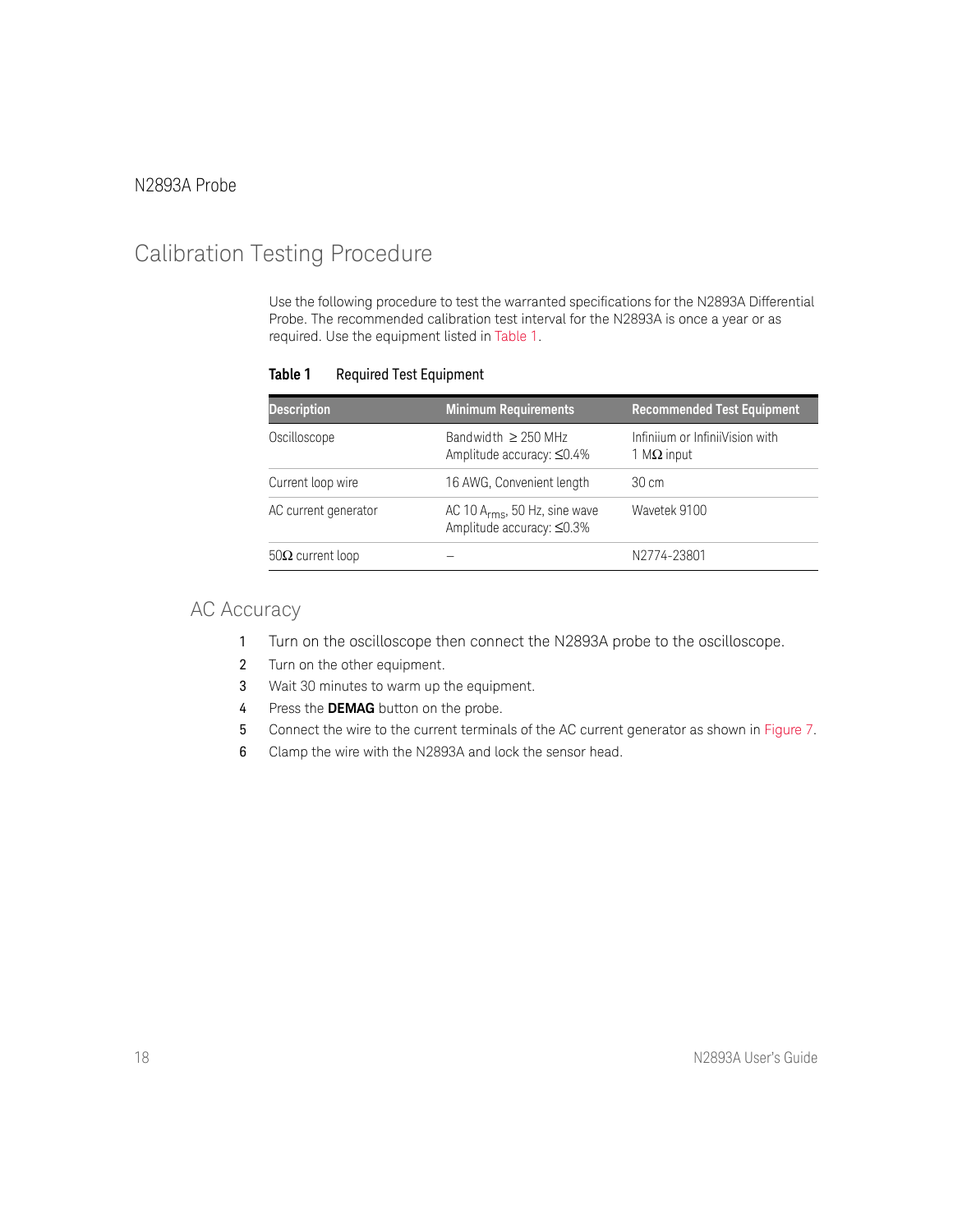# <span id="page-17-4"></span><span id="page-17-0"></span>Calibration Testing Procedure

Use the following procedure to test the warranted specifications for the N2893A Differential Probe. The recommended calibration test interval for the N2893A is once a year or as required. Use the equipment listed in [Table 1.](#page-17-2)

| <b>Description</b>      | <b>Minimum Requirements</b>                                  | <b>Recommended Test Equipment</b>                     |
|-------------------------|--------------------------------------------------------------|-------------------------------------------------------|
| Oscilloscope            | Bandwidth $\geq$ 250 MHz<br>Amplitude accuracy: ≤0.4%        | Infiniium or InfiniiVision with<br>1 M $\Omega$ input |
| Current loop wire       | 16 AWG, Convenient length                                    | 30 cm                                                 |
| AC current generator    | AC 10 $Arms$ , 50 Hz, sine wave<br>Amplitude accuracy: ≤0.3% | Wavetek 9100                                          |
| $50\Omega$ current loop |                                                              | N2774-23801                                           |

### <span id="page-17-2"></span>**Table 1** Required Test Equipment

# <span id="page-17-3"></span><span id="page-17-1"></span>AC Accuracy

- <span id="page-17-5"></span>1 Turn on the oscilloscope then connect the N2893A probe to the oscilloscope.
- 2 Turn on the other equipment.
- 3 Wait 30 minutes to warm up the equipment.
- 4 Press the **DEMAG** button on the probe.
- 5 Connect the wire to the current terminals of the AC current generator as shown in [Figure 7.](#page-18-0)
- 6 Clamp the wire with the N2893A and lock the sensor head.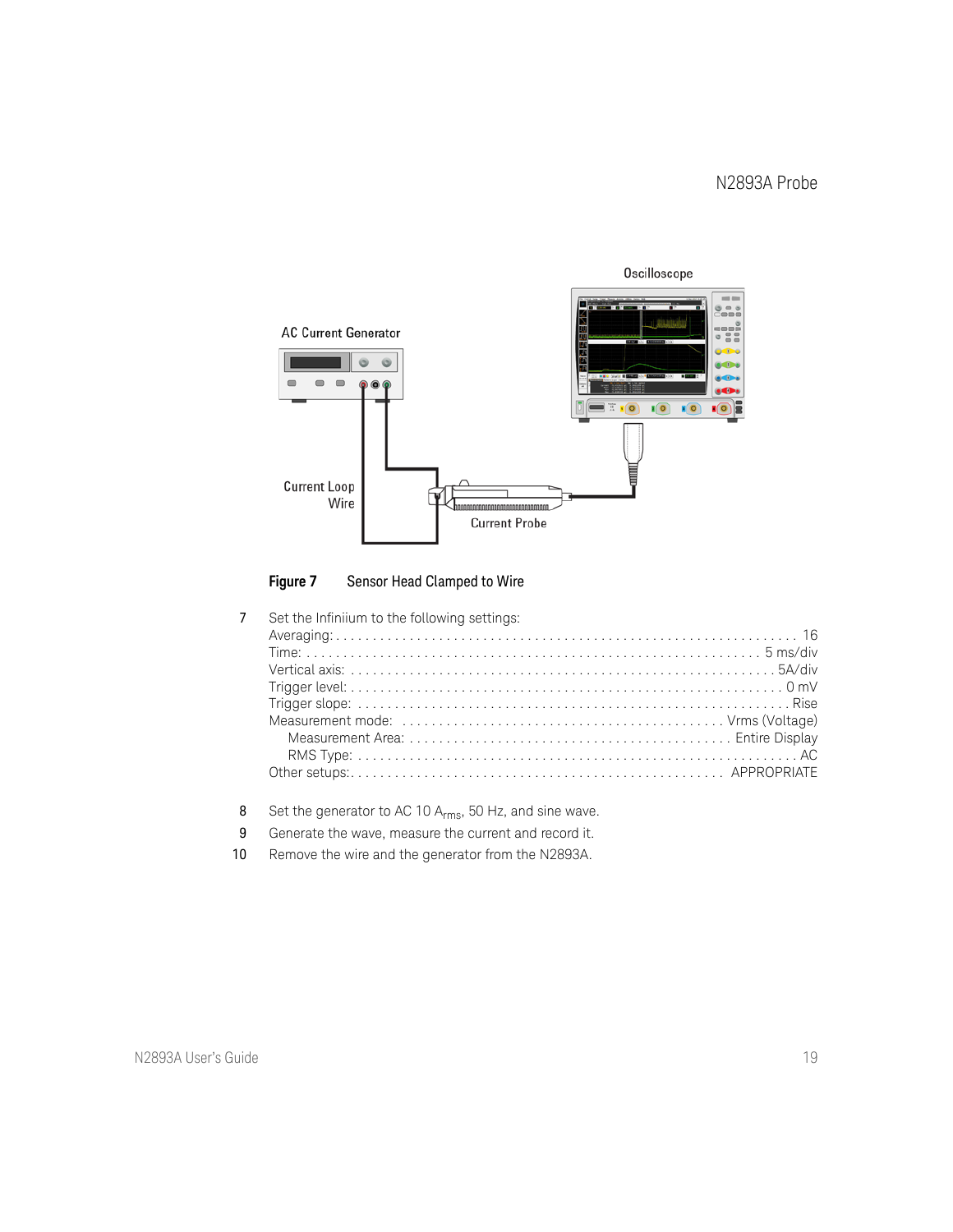### Oscilloscope



# <span id="page-18-0"></span>**Figure 7** Sensor Head Clamped to Wire

| 7 | Set the Infiniium to the following settings: |
|---|----------------------------------------------|
|   |                                              |
|   |                                              |
|   |                                              |
|   |                                              |
|   |                                              |
|   |                                              |
|   |                                              |
|   |                                              |
|   |                                              |

- 8 Set the generator to AC 10  $A_{rms}$ , 50 Hz, and sine wave.<br>9 Generate the wave, measure the current and record it.
- Generate the wave, measure the current and record it.
- 10 Remove the wire and the generator from the N2893A.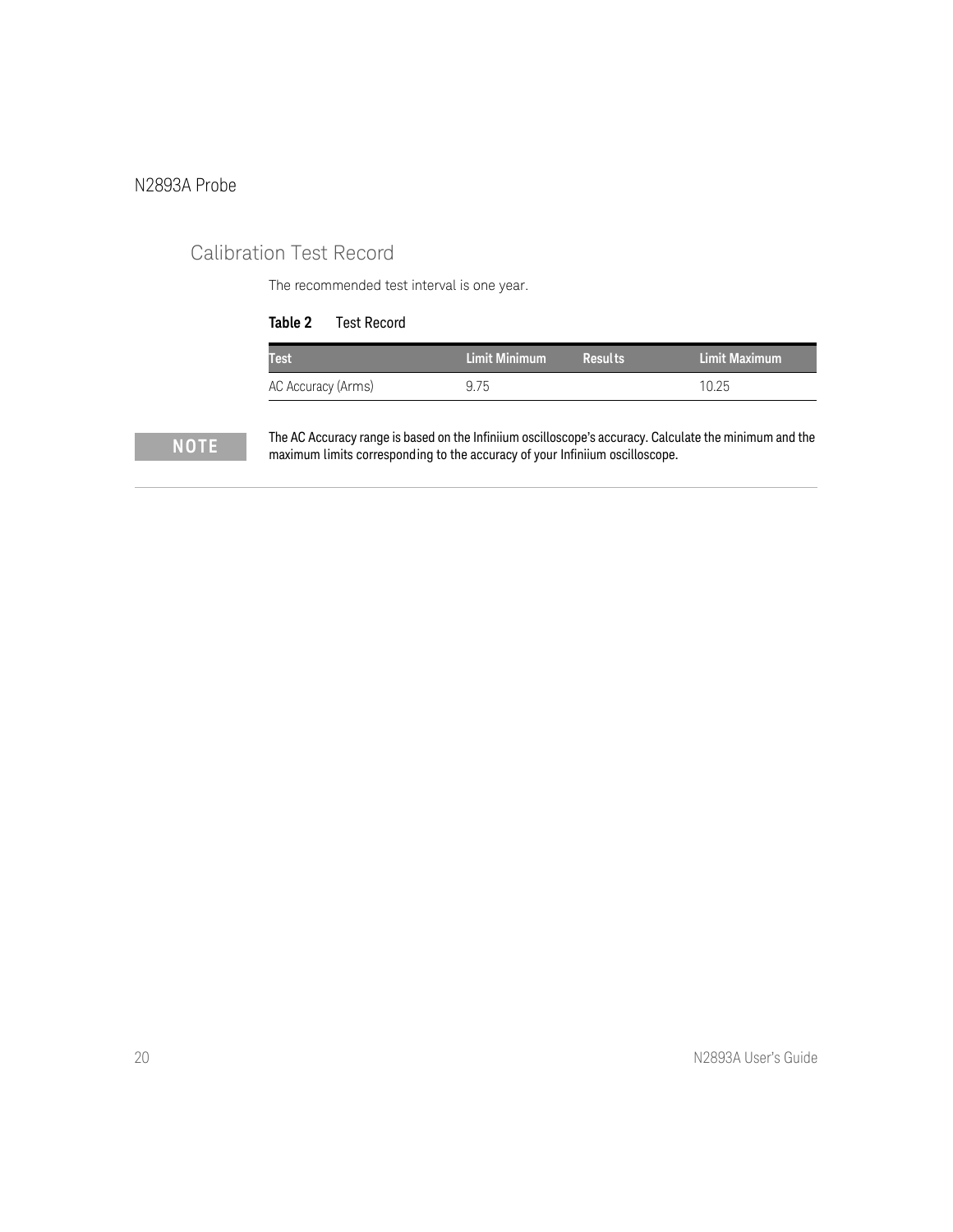# <span id="page-19-0"></span>Calibration Test Record

The recommended test interval is one year.

### **Table 2** Test Record

| <b>Test</b>        | <b>Limit Minimum</b> | <b>Results</b> | <b>Limit Maximum</b> |
|--------------------|----------------------|----------------|----------------------|
| AC Accuracy (Arms) | 9.75                 |                | 10.25                |

**NOTE** The AC Accuracy range is based on the Infiniium oscilloscope's accuracy. Calculate the minimum and the movimum limits corresponding to the accuracy of your Infiniium coeilloscope. maximum limits corresponding to the accuracy of your Infiniium oscilloscope.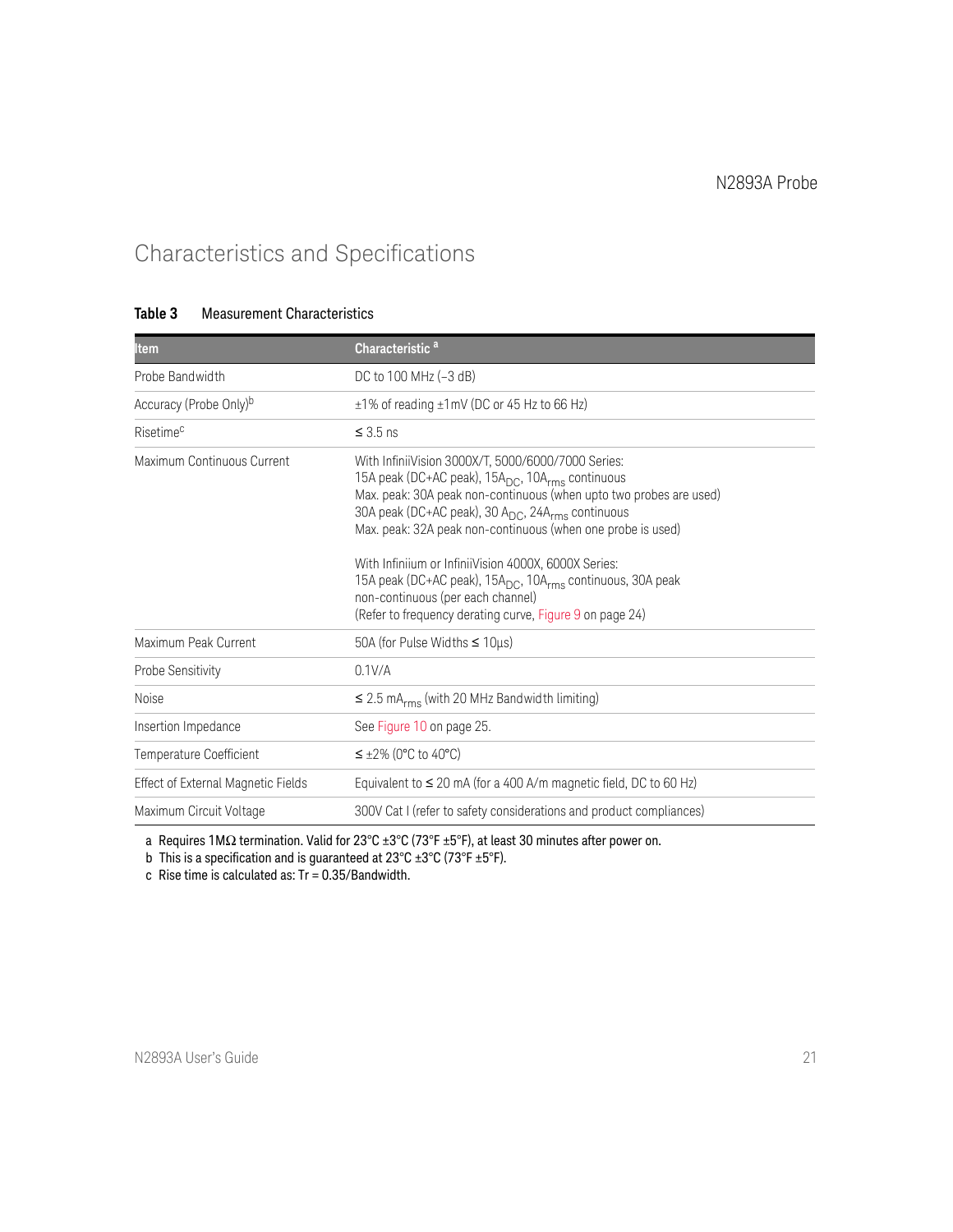# <span id="page-20-2"></span><span id="page-20-0"></span>Characteristics and Specifications

### **Table 3** Measurement Characteristics

<span id="page-20-11"></span><span id="page-20-9"></span><span id="page-20-6"></span><span id="page-20-1"></span>

| <b>Item</b>                        | Characteristic <sup>a</sup>                                                                                                                                                                                                                                                                                                                                                                                                                                                                                                                                                                     |
|------------------------------------|-------------------------------------------------------------------------------------------------------------------------------------------------------------------------------------------------------------------------------------------------------------------------------------------------------------------------------------------------------------------------------------------------------------------------------------------------------------------------------------------------------------------------------------------------------------------------------------------------|
| Probe Bandwidth                    | DC to 100 MHz (-3 dB)                                                                                                                                                                                                                                                                                                                                                                                                                                                                                                                                                                           |
| Accuracy (Probe Only) <sup>b</sup> | ±1% of reading ±1mV (DC or 45 Hz to 66 Hz)                                                                                                                                                                                                                                                                                                                                                                                                                                                                                                                                                      |
| Risetime <sup>c</sup>              | $\leq$ 3.5 ns                                                                                                                                                                                                                                                                                                                                                                                                                                                                                                                                                                                   |
| Maximum Continuous Current         | With InfiniiVision 3000X/T, 5000/6000/7000 Series:<br>15A peak (DC+AC peak), 15A <sub>DC</sub> , 10A <sub>rms</sub> continuous<br>Max. peak: 30A peak non-continuous (when upto two probes are used)<br>30A peak (DC+AC peak), 30 A <sub>DC</sub> , 24A <sub>rms</sub> continuous<br>Max. peak: 32A peak non-continuous (when one probe is used)<br>With Infiniium or InfiniiVision 4000X, 6000X Series:<br>15A peak (DC+AC peak), 15A <sub>DC</sub> , 10A <sub>rms</sub> continuous, 30A peak<br>non-continuous (per each channel)<br>(Refer to frequency derating curve, Figure 9 on page 24) |
| Maximum Peak Current               | 50A (for Pulse Widths $\leq 10 \mu s$ )                                                                                                                                                                                                                                                                                                                                                                                                                                                                                                                                                         |
| Probe Sensitivity                  | 0.1V/A                                                                                                                                                                                                                                                                                                                                                                                                                                                                                                                                                                                          |
| Noise                              | $\leq$ 2.5 mA <sub>rms</sub> (with 20 MHz Bandwidth limiting)                                                                                                                                                                                                                                                                                                                                                                                                                                                                                                                                   |
| Insertion Impedance                | See Figure 10 on page 25.                                                                                                                                                                                                                                                                                                                                                                                                                                                                                                                                                                       |
| Temperature Coefficient            | ≤ ±2% (0°C to 40°C)                                                                                                                                                                                                                                                                                                                                                                                                                                                                                                                                                                             |
| Effect of External Magnetic Fields | Equivalent to $\leq$ 20 mA (for a 400 A/m magnetic field, DC to 60 Hz)                                                                                                                                                                                                                                                                                                                                                                                                                                                                                                                          |
| Maximum Circuit Voltage            | 300V Cat I (refer to safety considerations and product compliances)                                                                                                                                                                                                                                                                                                                                                                                                                                                                                                                             |

<span id="page-20-12"></span><span id="page-20-10"></span><span id="page-20-8"></span><span id="page-20-7"></span><span id="page-20-5"></span><span id="page-20-4"></span><span id="page-20-3"></span>a Requires 1MΩ termination. Valid for 23°C ±3°C (73°F ±5°F), at least 30 minutes after power on.

b This is a specification and is guaranteed at  $23^{\circ}$ C  $\pm 3^{\circ}$ C (73°F  $\pm 5^{\circ}$ F).

c Rise time is calculated as:  $Tr = 0.35/B$ andwidth.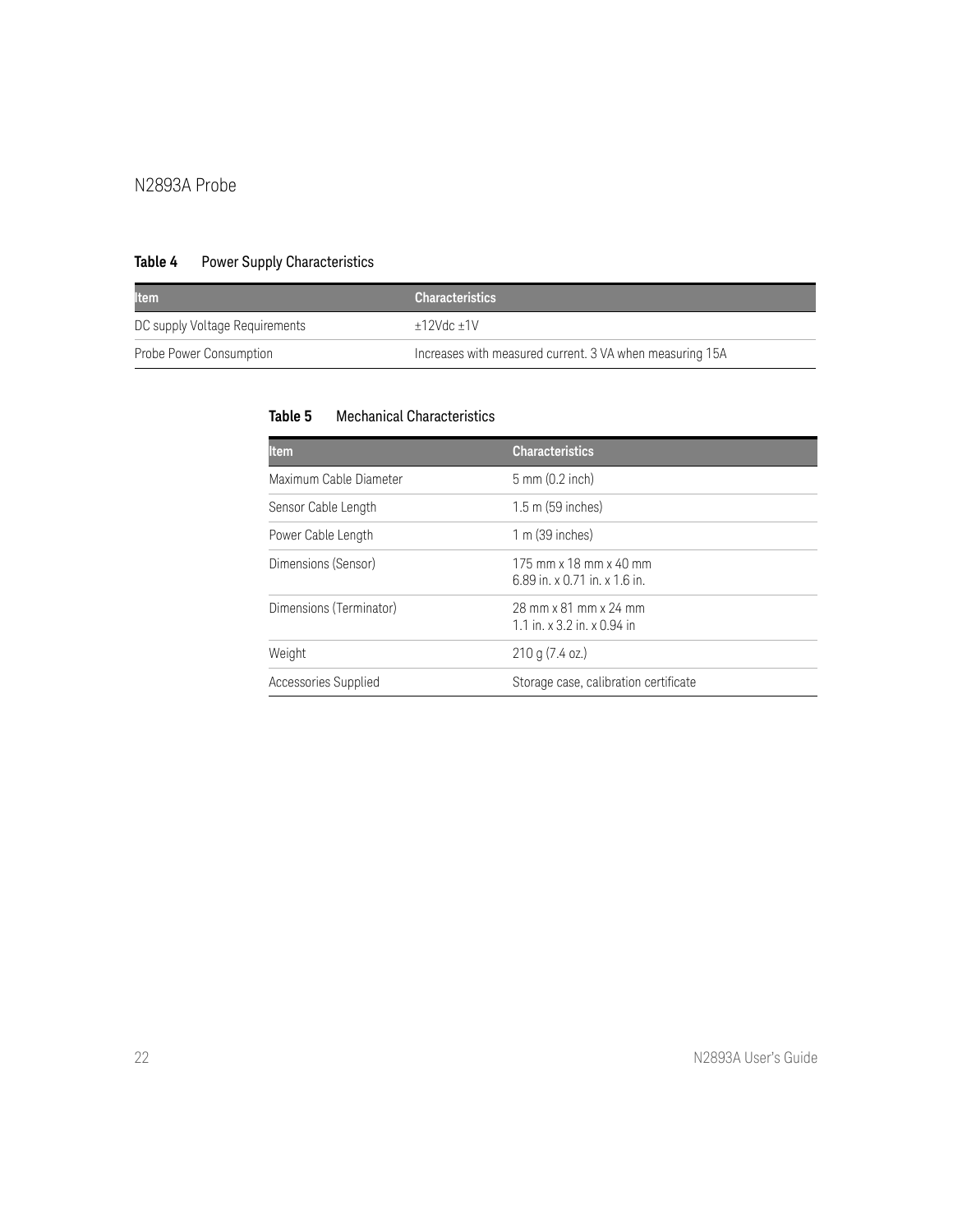# **Table 4** Power Supply Characteristics

<span id="page-21-5"></span><span id="page-21-1"></span>

| <b>Item</b>                    | <b>Characteristics</b>                                   |
|--------------------------------|----------------------------------------------------------|
| DC supply Voltage Requirements | $±12$ Vdc $±1V$                                          |
| Probe Power Consumption        | Increases with measured current. 3 VA when measuring 15A |

# **Table 5** Mechanical Characteristics

<span id="page-21-7"></span><span id="page-21-6"></span><span id="page-21-4"></span><span id="page-21-3"></span><span id="page-21-2"></span><span id="page-21-0"></span>

| <b>Item</b>             | <b>Characteristics</b>                                                |
|-------------------------|-----------------------------------------------------------------------|
| Maximum Cable Diameter  | $5 \text{ mm}$ (0.2 inch)                                             |
| Sensor Cable Length     | $1.5$ m (59 inches)                                                   |
| Power Cable Length      | 1 m (39 inches)                                                       |
| Dimensions (Sensor)     | 175 mm x 18 mm x 40 mm<br>6.89 in. $\times$ 0.71 in. $\times$ 1.6 in. |
| Dimensions (Terminator) | 28 mm x 81 mm x 24 mm<br>1.1 in. x 3.2 in. x 0.94 in                  |
| Weight                  | 210 g (7.4 oz.)                                                       |
| Accessories Supplied    | Storage case, calibration certificate                                 |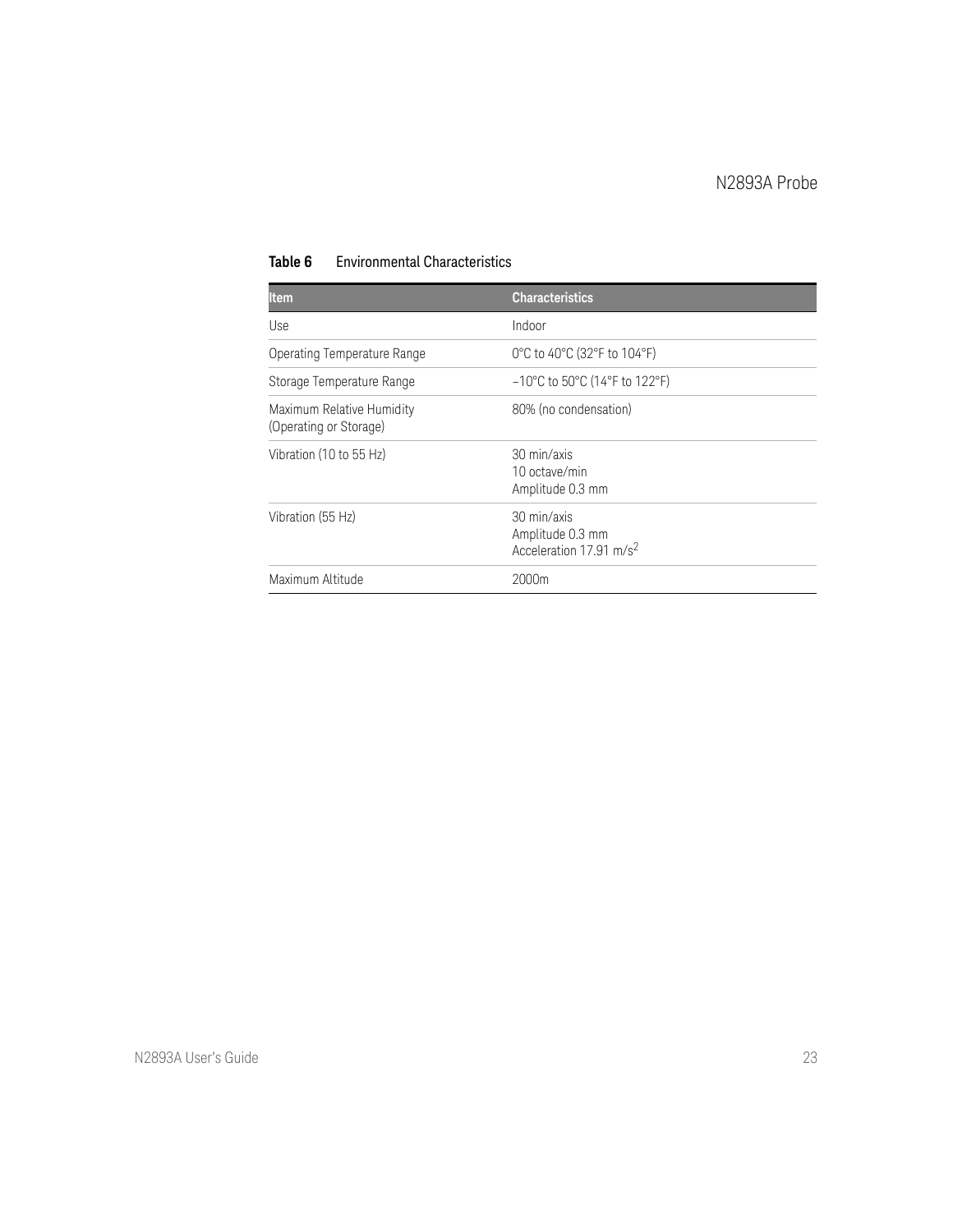<span id="page-22-5"></span><span id="page-22-4"></span><span id="page-22-3"></span><span id="page-22-2"></span><span id="page-22-1"></span><span id="page-22-0"></span>

| <b>Item</b>                                         | <b>Characteristics</b>                                                   |
|-----------------------------------------------------|--------------------------------------------------------------------------|
| Use                                                 | Indoor                                                                   |
| Operating Temperature Range                         | 0°C to 40°C (32°F to 104°F)                                              |
| Storage Temperature Range                           | $-10^{\circ}$ C to 50 $^{\circ}$ C (14 $^{\circ}$ F to 122 $^{\circ}$ F) |
| Maximum Relative Humidity<br>(Operating or Storage) | 80% (no condensation)                                                    |
| Vibration (10 to 55 Hz)                             | 30 min/axis<br>10 octave/min<br>Amplitude 0.3 mm                         |
| Vibration (55 Hz)                                   | 30 min/axis<br>Amplitude 0.3 mm<br>Acceleration 17.91 m/s <sup>2</sup>   |
| Maximum Altitude                                    | 2000m                                                                    |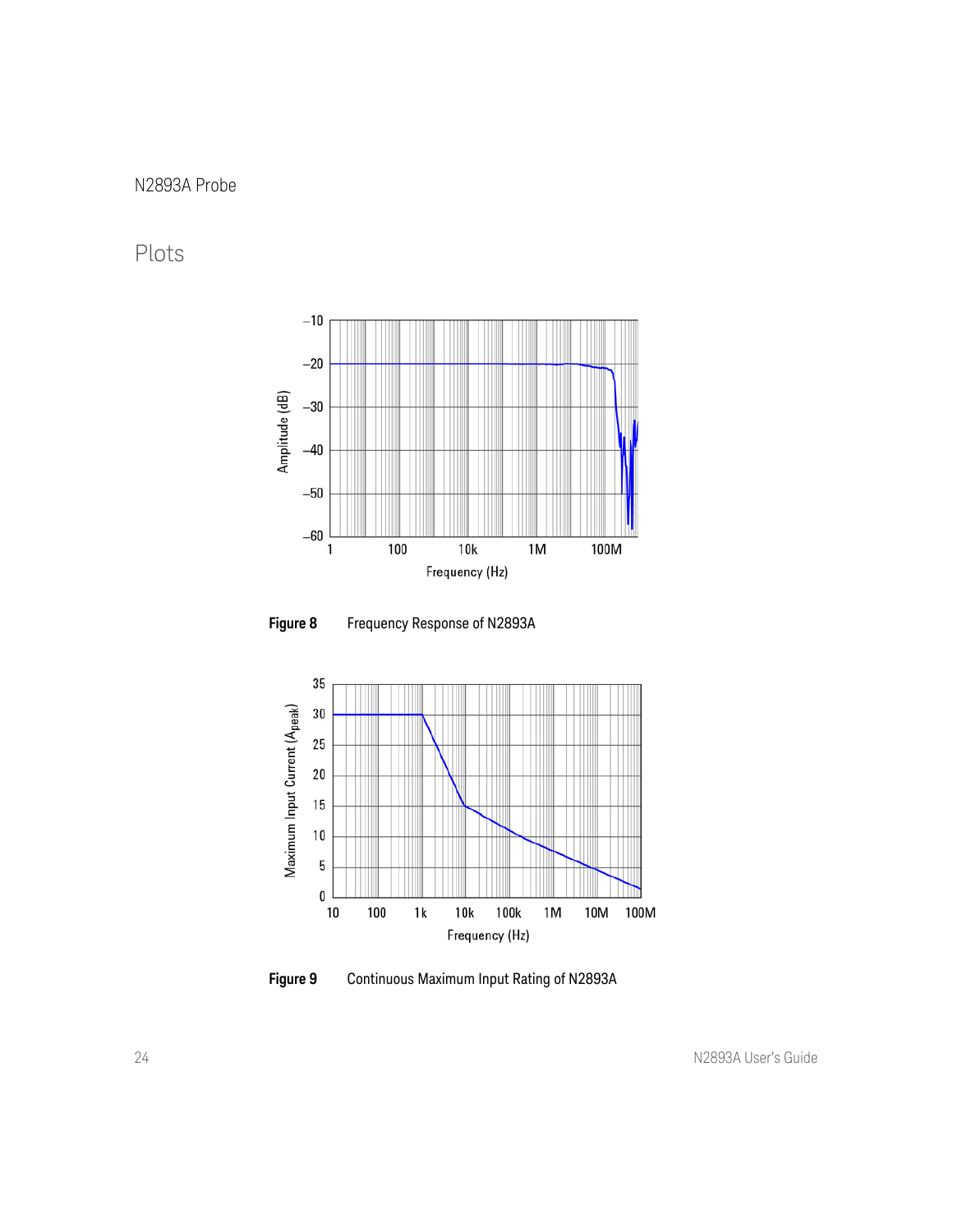# N2893A Probe

# <span id="page-23-0"></span>Plots



**Figure 8** Frequency Response of N2893A



<span id="page-23-1"></span>**Figure 9** Continuous Maximum Input Rating of N2893A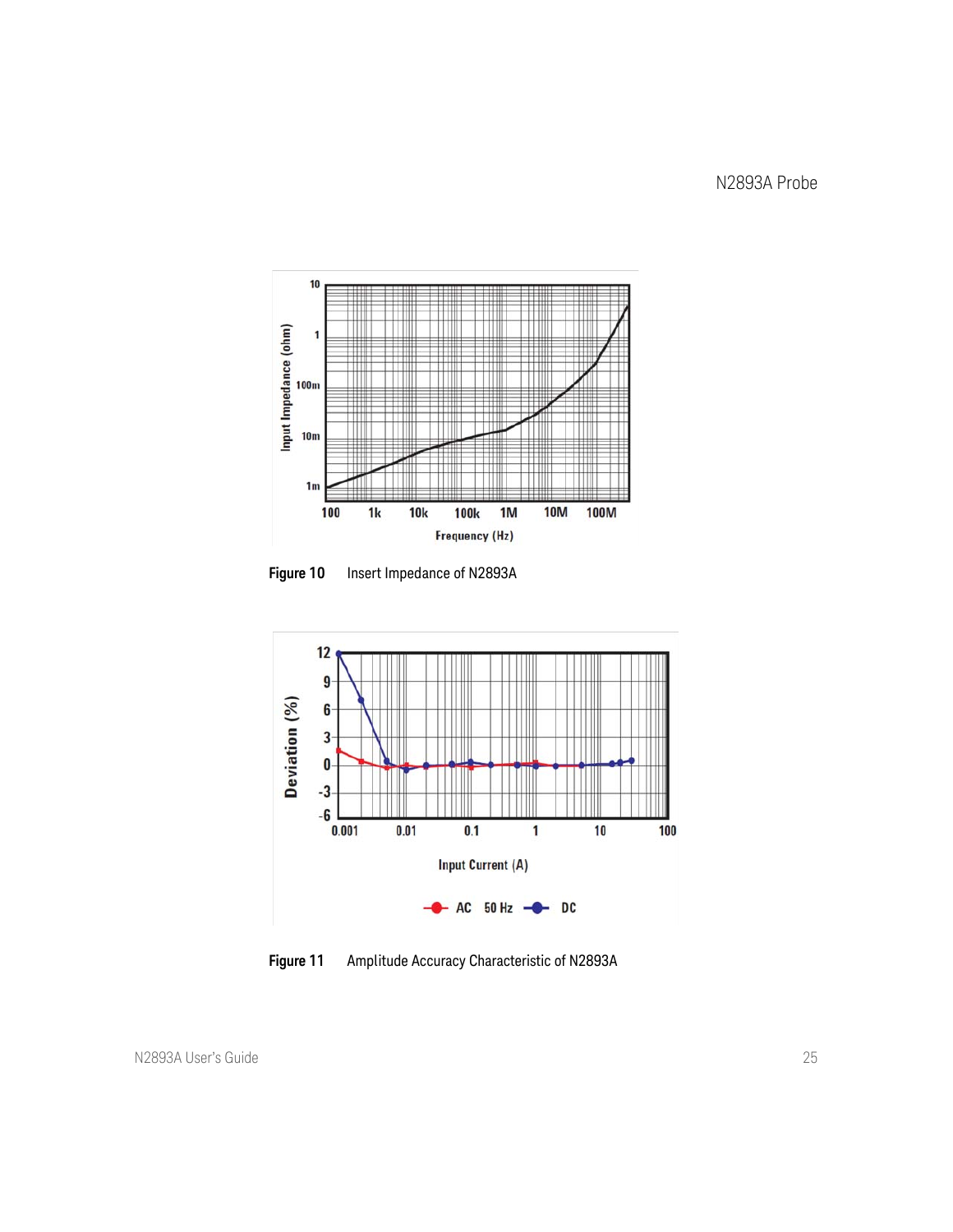

<span id="page-24-0"></span>**Figure 10** Insert Impedance of N2893A



**Figure 11** Amplitude Accuracy Characteristic of N2893A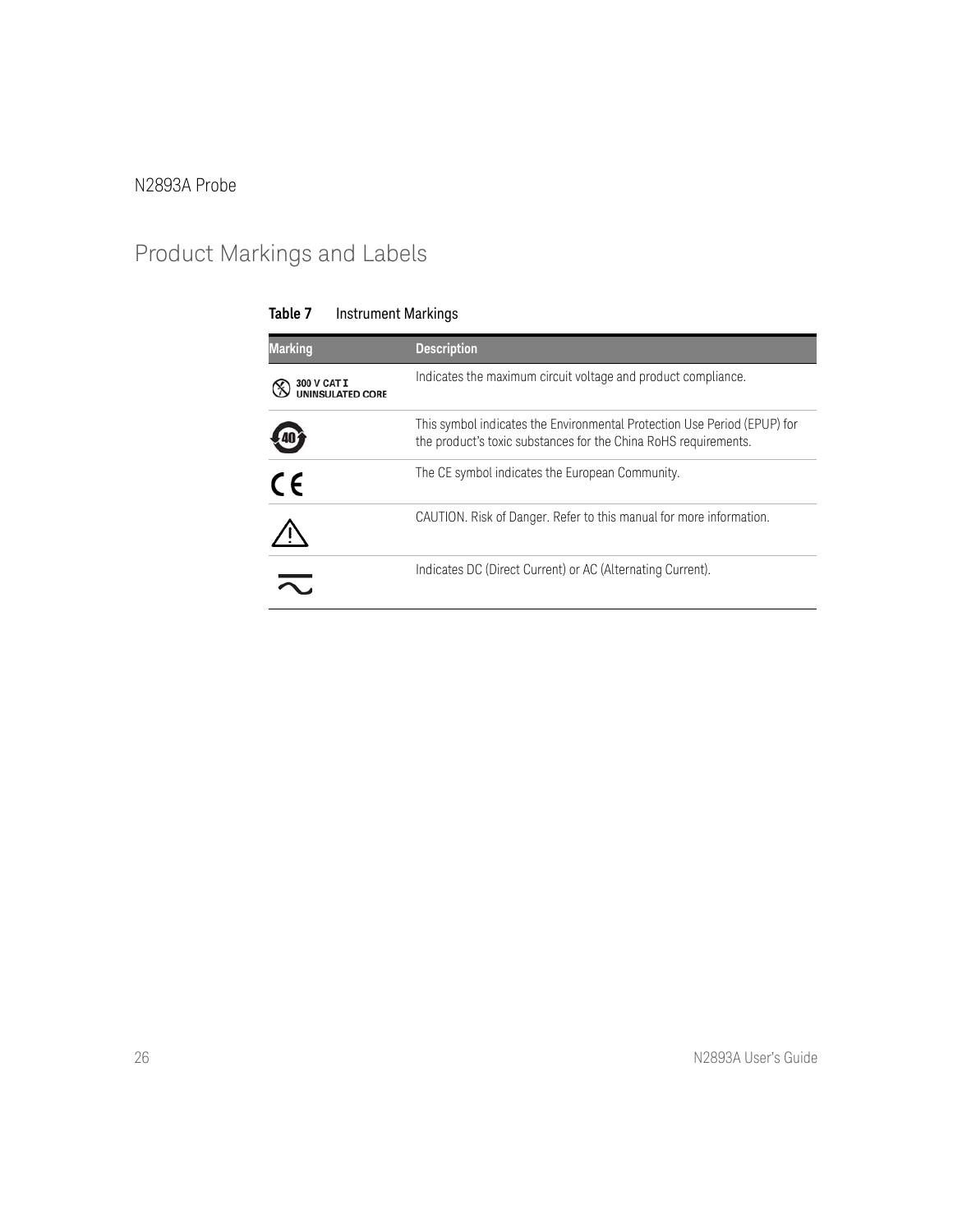# <span id="page-25-0"></span>Product Markings and Labels

<span id="page-25-4"></span><span id="page-25-2"></span><span id="page-25-1"></span>

| <b>Marking</b>                         | <b>Description</b>                                                                                                                          |
|----------------------------------------|---------------------------------------------------------------------------------------------------------------------------------------------|
| 300 V CAT I<br><b>JNINSULATED CORE</b> | Indicates the maximum circuit voltage and product compliance.                                                                               |
|                                        | This symbol indicates the Environmental Protection Use Period (EPUP) for<br>the product's toxic substances for the China RoHS requirements. |
| CE                                     | The CE symbol indicates the European Community.                                                                                             |
|                                        | CAUTION. Risk of Danger. Refer to this manual for more information.                                                                         |
|                                        | Indicates DC (Direct Current) or AC (Alternating Current).                                                                                  |

# <span id="page-25-5"></span><span id="page-25-3"></span>**Table 7** Instrument Markings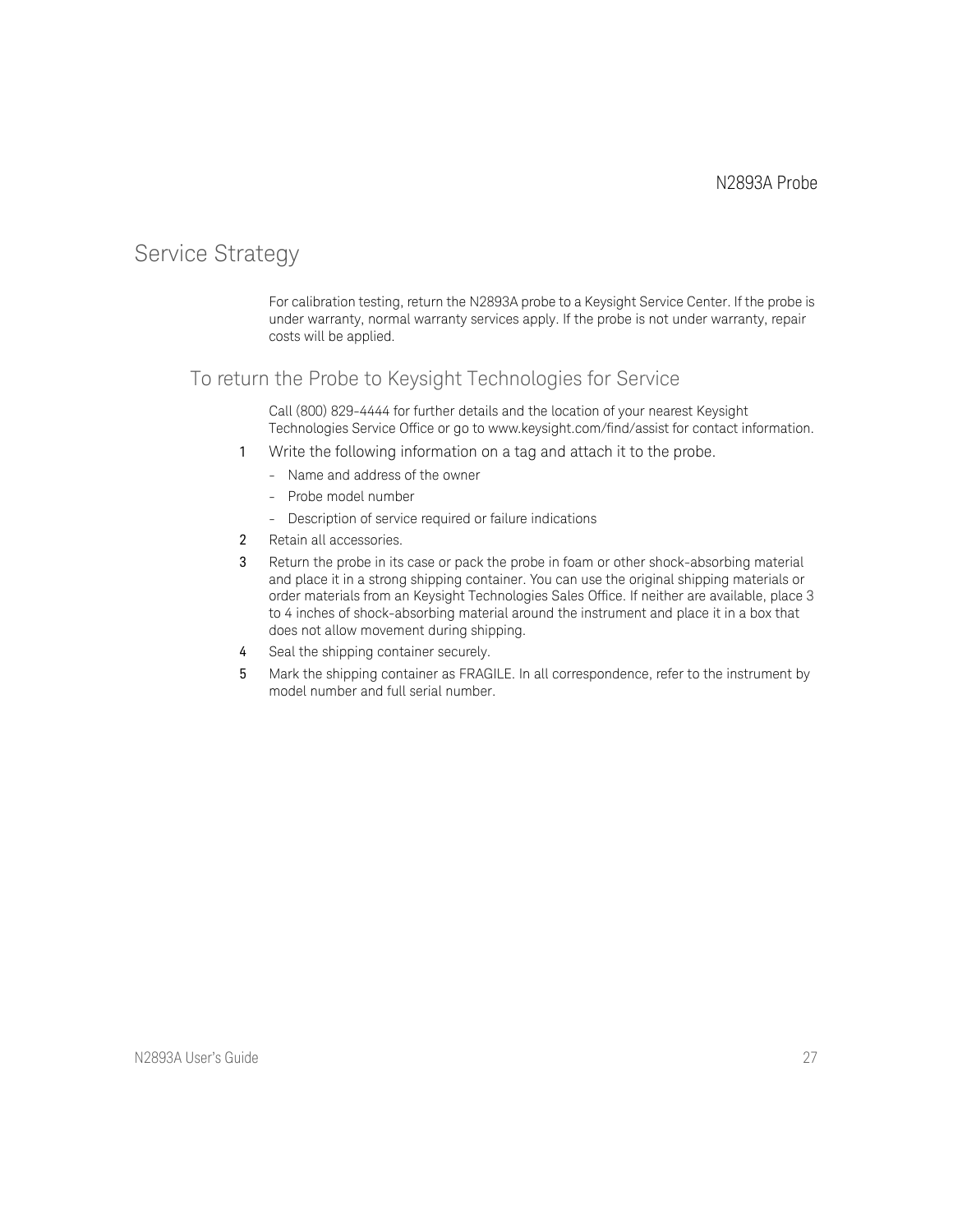# <span id="page-26-0"></span>Service Strategy

For calibration testing, return the N2893A probe to a Keysight Service Center. If the probe is under warranty, normal warranty services apply. If the probe is not under warranty, repair costs will be applied.

# <span id="page-26-1"></span>To return the Probe to Keysight Technologies for Service

<span id="page-26-2"></span>Call (800) 829-4444 for further details and the location of your nearest Keysight Technologies Service Office or go to www.keysight.com/find/assist for contact information.

- 1 Write the following information on a tag and attach it to the probe.
	- Name and address of the owner
	- Probe model number
	- Description of service required or failure indications
- 2 Retain all accessories
- 3 Return the probe in its case or pack the probe in foam or other shock-absorbing material and place it in a strong shipping container. You can use the original shipping materials or order materials from an Keysight Technologies Sales Office. If neither are available, place 3 to 4 inches of shock-absorbing material around the instrument and place it in a box that does not allow movement during shipping.
- 4 Seal the shipping container securely.
- 5 Mark the shipping container as FRAGILE. In all correspondence, refer to the instrument by model number and full serial number.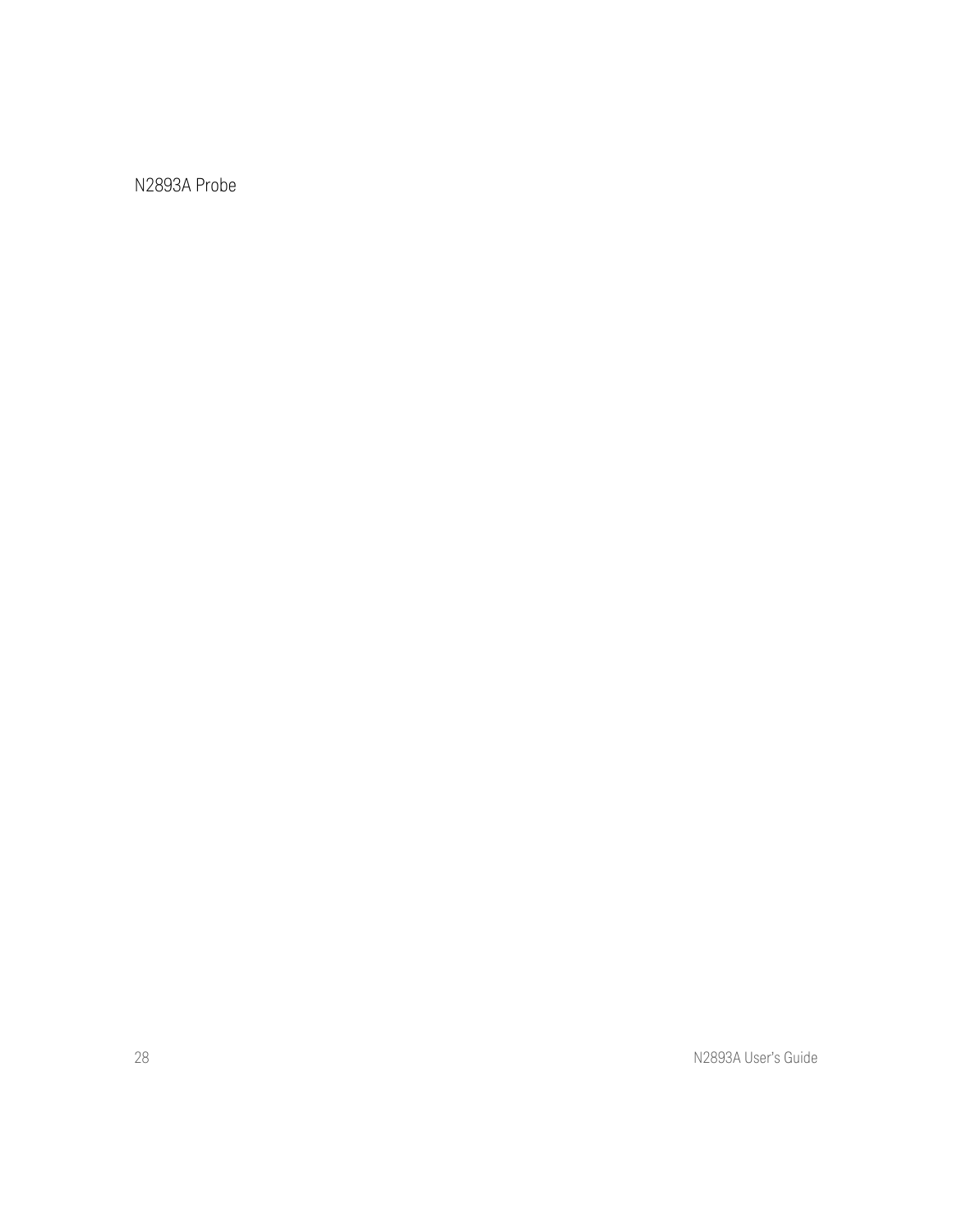N2893A Probe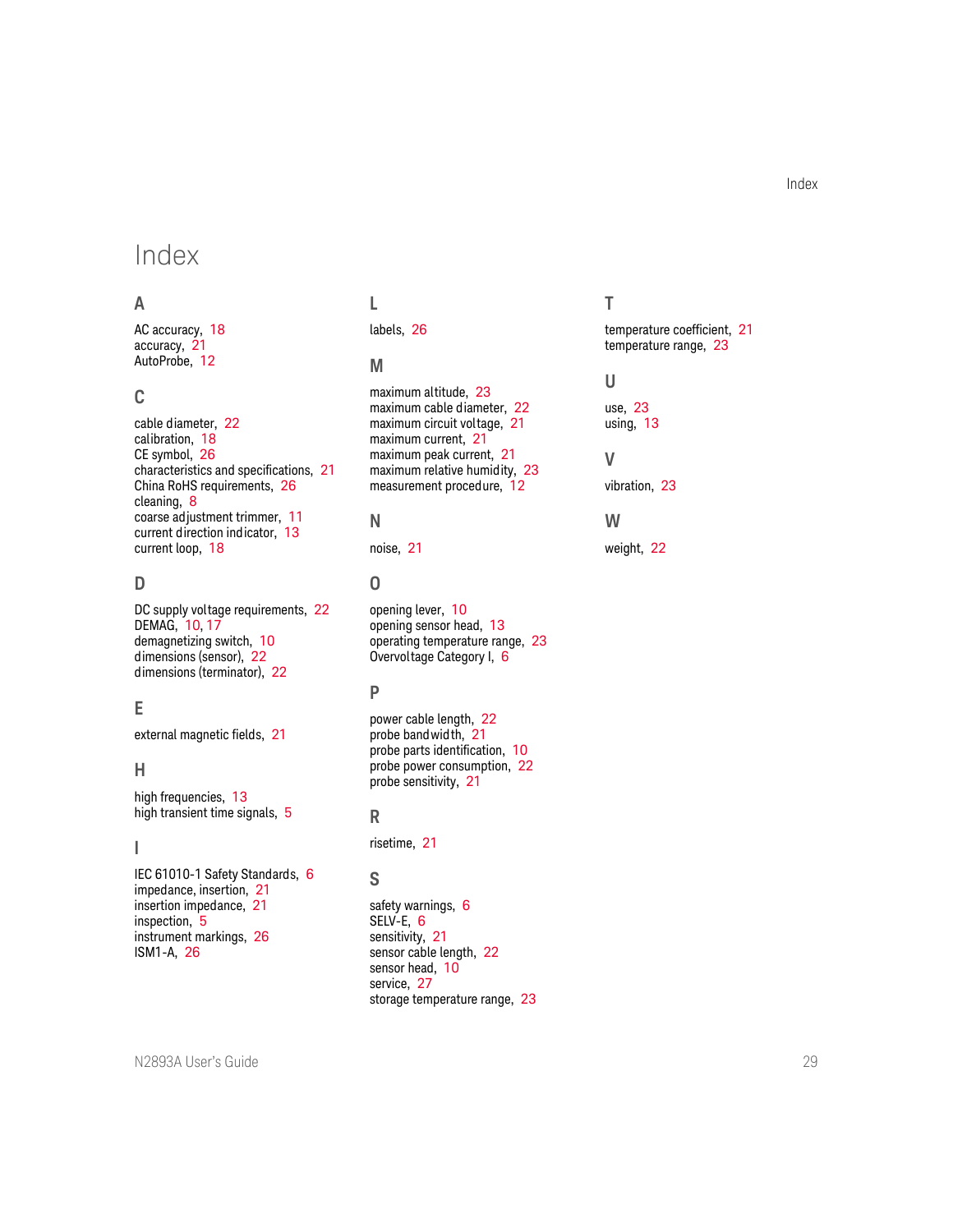# <span id="page-28-0"></span>Index

# **A**

AC accuracy, [18](#page-17-3) accuracy, [21](#page-20-1) AutoProbe, [12](#page-11-2)

# **C**

cable diameter, [22](#page-21-0) calibration, [18](#page-17-4) CE symbol, [26](#page-25-1) characteristics and specifications, [21](#page-20-2) China RoHS requirements, [26](#page-25-2) cleaning, [8](#page-7-1) coarse adjustment trimmer, [11](#page-10-0) current direction indicator, [13](#page-12-2) current loop, [18](#page-17-5)

# **D**

DC supply voltage requirements, [22](#page-21-1) DEMAG, [10](#page-9-2), [17](#page-16-2) demagnetizing switch, [10](#page-9-3) dimensions (sensor), [22](#page-21-2) dimensions (terminator), [22](#page-21-3)

# **E**

external magnetic fields, [21](#page-20-3)

### **H**

high frequencies, [13](#page-12-3) high transient time signals, [5](#page-4-4)

# **I**

IEC 61010-1 Safety Standards, [6](#page-5-1) impedance, insertion, [21](#page-20-4) insertion impedance, [21](#page-20-4) inspection, [5](#page-4-5) instrument markings, [26](#page-25-3) ISM1-A, [26](#page-25-4)

# **L**

labels, [26](#page-25-5)

### **M**

maximum altitude, [23](#page-22-0) maximum cable diameter, [22](#page-21-0) maximum circuit voltage, [21](#page-20-5) maximum current, [21](#page-20-6) maximum peak current, [21](#page-20-7) maximum relative humidity, [23](#page-22-1) measurement procedure, [12](#page-11-3)

### **N**

noise, [21](#page-20-8)

# **O**

opening lever, [10](#page-9-4) opening sensor head, [13](#page-12-4) operating temperature range, [23](#page-22-2) Overvoltage Category I, [6](#page-5-2)

# **P**

power cable length, [22](#page-21-4) probe bandwidth, [21](#page-20-9) probe parts identification, [10](#page-9-5) probe power consumption, [22](#page-21-5) probe sensitivity, [21](#page-20-10)

# **R**

risetime, [21](#page-20-11)

# **S**

safety warnings, [6](#page-5-3) SELV-E, [6](#page-5-4) sensitivity, [21](#page-20-10) sensor cable length, [22](#page-21-6) sensor head, [10](#page-9-6) service, [27](#page-26-2) storage temperature range, [23](#page-22-3)

# **T**

temperature coefficient, [21](#page-20-12) temperature range, [23](#page-22-3)

### **U**

use, [23](#page-22-4) using, [13](#page-12-5)

### **V**

vibration, [23](#page-22-5)

**W**

weight, [22](#page-21-7)